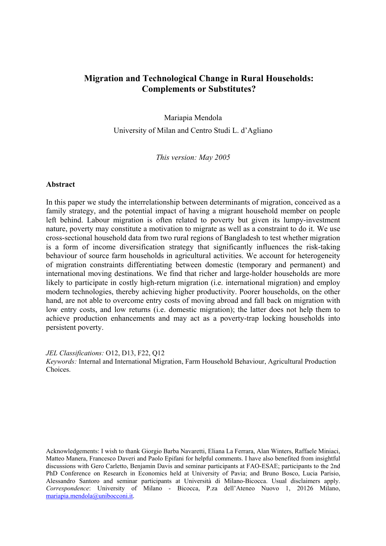# **Migration and Technological Change in Rural Households: Complements or Substitutes?**

Mariapia Mendola

University of Milan and Centro Studi L. d'Agliano

*This version: May 2005* 

## **Abstract**

In this paper we study the interrelationship between determinants of migration, conceived as a family strategy, and the potential impact of having a migrant household member on people left behind. Labour migration is often related to poverty but given its lumpy-investment nature, poverty may constitute a motivation to migrate as well as a constraint to do it. We use cross-sectional household data from two rural regions of Bangladesh to test whether migration is a form of income diversification strategy that significantly influences the risk-taking behaviour of source farm households in agricultural activities. We account for heterogeneity of migration constraints differentiating between domestic (temporary and permanent) and international moving destinations. We find that richer and large-holder households are more likely to participate in costly high-return migration (i.e. international migration) and employ modern technologies, thereby achieving higher productivity. Poorer households, on the other hand, are not able to overcome entry costs of moving abroad and fall back on migration with low entry costs, and low returns (i.e. domestic migration); the latter does not help them to achieve production enhancements and may act as a poverty-trap locking households into persistent poverty.

*JEL Classifications:* O12, D13, F22, Q12

*Keywords:* Internal and International Migration, Farm Household Behaviour, Agricultural Production Choices.

Acknowledgements: I wish to thank Giorgio Barba Navaretti, Eliana La Ferrara, Alan Winters, Raffaele Miniaci, Matteo Manera, Francesco Daveri and Paolo Epifani for helpful comments. I have also benefited from insightful discussions with Gero Carletto, Benjamin Davis and seminar participants at FAO-ESAE; participants to the 2nd PhD Conference on Research in Economics held at University of Pavia; and Bruno Bosco, Lucia Parisio, Alessandro Santoro and seminar participants at Università di Milano-Bicocca. Usual disclaimers apply. *Correspondence*: University of Milano - Bicocca, P.za dell'Ateneo Nuovo 1, 20126 Milano, mariapia.mendola@unibocconi.it.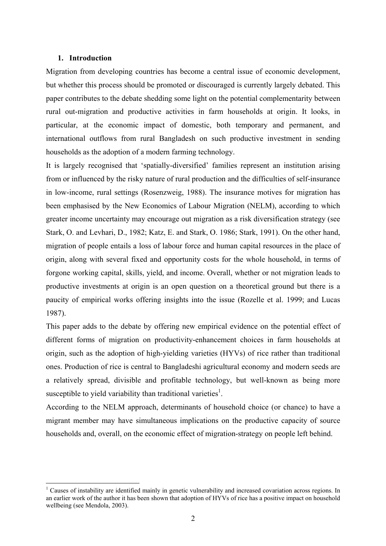### **1. Introduction**

 $\overline{a}$ 

Migration from developing countries has become a central issue of economic development, but whether this process should be promoted or discouraged is currently largely debated. This paper contributes to the debate shedding some light on the potential complementarity between rural out-migration and productive activities in farm households at origin. It looks, in particular, at the economic impact of domestic, both temporary and permanent, and international outflows from rural Bangladesh on such productive investment in sending households as the adoption of a modern farming technology.

It is largely recognised that 'spatially-diversified' families represent an institution arising from or influenced by the risky nature of rural production and the difficulties of self-insurance in low-income, rural settings (Rosenzweig, 1988). The insurance motives for migration has been emphasised by the New Economics of Labour Migration (NELM), according to which greater income uncertainty may encourage out migration as a risk diversification strategy (see Stark, O. and Levhari, D., 1982; Katz, E. and Stark, O. 1986; Stark, 1991). On the other hand, migration of people entails a loss of labour force and human capital resources in the place of origin, along with several fixed and opportunity costs for the whole household, in terms of forgone working capital, skills, yield, and income. Overall, whether or not migration leads to productive investments at origin is an open question on a theoretical ground but there is a paucity of empirical works offering insights into the issue (Rozelle et al. 1999; and Lucas 1987).

This paper adds to the debate by offering new empirical evidence on the potential effect of different forms of migration on productivity-enhancement choices in farm households at origin, such as the adoption of high-yielding varieties (HYVs) of rice rather than traditional ones. Production of rice is central to Bangladeshi agricultural economy and modern seeds are a relatively spread, divisible and profitable technology, but well-known as being more susceptible to yield variability than traditional varieties<sup>1</sup>.

According to the NELM approach, determinants of household choice (or chance) to have a migrant member may have simultaneous implications on the productive capacity of source households and, overall, on the economic effect of migration-strategy on people left behind.

<sup>1</sup> Causes of instability are identified mainly in genetic vulnerability and increased covariation across regions. In an earlier work of the author it has been shown that adoption of HYVs of rice has a positive impact on household wellbeing (see Mendola, 2003).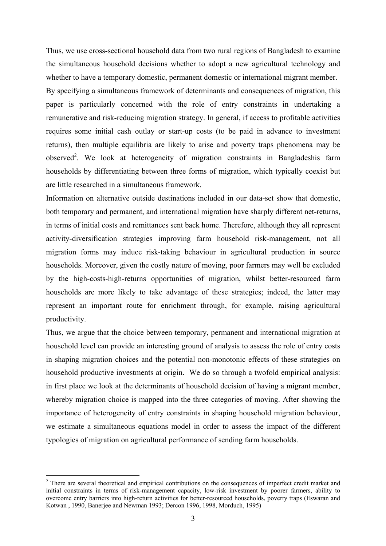Thus, we use cross-sectional household data from two rural regions of Bangladesh to examine the simultaneous household decisions whether to adopt a new agricultural technology and whether to have a temporary domestic, permanent domestic or international migrant member. By specifying a simultaneous framework of determinants and consequences of migration, this paper is particularly concerned with the role of entry constraints in undertaking a remunerative and risk-reducing migration strategy. In general, if access to profitable activities requires some initial cash outlay or start-up costs (to be paid in advance to investment returns), then multiple equilibria are likely to arise and poverty traps phenomena may be observed<sup>2</sup>. We look at heterogeneity of migration constraints in Bangladeshis farm households by differentiating between three forms of migration, which typically coexist but are little researched in a simultaneous framework.

Information on alternative outside destinations included in our data-set show that domestic, both temporary and permanent, and international migration have sharply different net-returns, in terms of initial costs and remittances sent back home. Therefore, although they all represent activity-diversification strategies improving farm household risk-management, not all migration forms may induce risk-taking behaviour in agricultural production in source households. Moreover, given the costly nature of moving, poor farmers may well be excluded by the high-costs-high-returns opportunities of migration, whilst better-resourced farm households are more likely to take advantage of these strategies; indeed, the latter may represent an important route for enrichment through, for example, raising agricultural productivity.

Thus, we argue that the choice between temporary, permanent and international migration at household level can provide an interesting ground of analysis to assess the role of entry costs in shaping migration choices and the potential non-monotonic effects of these strategies on household productive investments at origin. We do so through a twofold empirical analysis: in first place we look at the determinants of household decision of having a migrant member, whereby migration choice is mapped into the three categories of moving. After showing the importance of heterogeneity of entry constraints in shaping household migration behaviour, we estimate a simultaneous equations model in order to assess the impact of the different typologies of migration on agricultural performance of sending farm households.

<sup>&</sup>lt;sup>2</sup> There are several theoretical and empirical contributions on the consequences of imperfect credit market and initial constraints in terms of risk-management capacity, low-risk investment by poorer farmers, ability to overcome entry barriers into high-return activities for better-resourced households, poverty traps (Eswaran and Kotwan , 1990, Banerjee and Newman 1993; Dercon 1996, 1998, Morduch, 1995)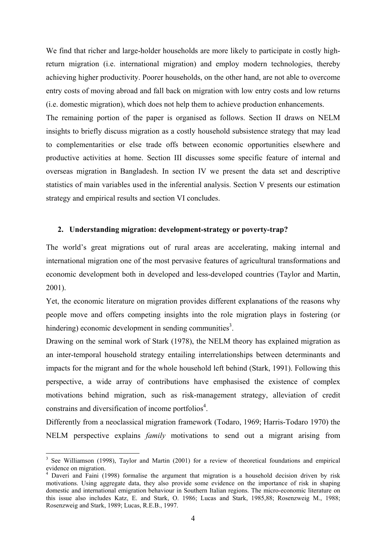We find that richer and large-holder households are more likely to participate in costly highreturn migration (i.e. international migration) and employ modern technologies, thereby achieving higher productivity. Poorer households, on the other hand, are not able to overcome entry costs of moving abroad and fall back on migration with low entry costs and low returns (i.e. domestic migration), which does not help them to achieve production enhancements.

The remaining portion of the paper is organised as follows. Section II draws on NELM insights to briefly discuss migration as a costly household subsistence strategy that may lead to complementarities or else trade offs between economic opportunities elsewhere and productive activities at home. Section III discusses some specific feature of internal and overseas migration in Bangladesh. In section IV we present the data set and descriptive statistics of main variables used in the inferential analysis. Section V presents our estimation strategy and empirical results and section VI concludes.

## **2. Understanding migration: development-strategy or poverty-trap?**

The world's great migrations out of rural areas are accelerating, making internal and international migration one of the most pervasive features of agricultural transformations and economic development both in developed and less-developed countries (Taylor and Martin, 2001).

Yet, the economic literature on migration provides different explanations of the reasons why people move and offers competing insights into the role migration plays in fostering (or hindering) economic development in sending communities<sup>3</sup>.

Drawing on the seminal work of Stark (1978), the NELM theory has explained migration as an inter-temporal household strategy entailing interrelationships between determinants and impacts for the migrant and for the whole household left behind (Stark, 1991). Following this perspective, a wide array of contributions have emphasised the existence of complex motivations behind migration, such as risk-management strategy, alleviation of credit constrains and diversification of income portfolios<sup>4</sup>.

Differently from a neoclassical migration framework (Todaro, 1969; Harris-Todaro 1970) the NELM perspective explains *family* motivations to send out a migrant arising from

<sup>&</sup>lt;sup>3</sup> See Williamson (1998), Taylor and Martin (2001) for a review of theoretical foundations and empirical evidence on migration.

<sup>&</sup>lt;sup>4</sup> Daveri and Faini (1998) formalise the argument that migration is a household decision driven by risk motivations. Using aggregate data, they also provide some evidence on the importance of risk in shaping domestic and international emigration behaviour in Southern Italian regions. The micro-economic literature on this issue also includes Katz, E. and Stark, O. 1986; Lucas and Stark, 1985,88; Rosenzweig M., 1988; Rosenzweig and Stark, 1989; Lucas, R.E.B., 1997.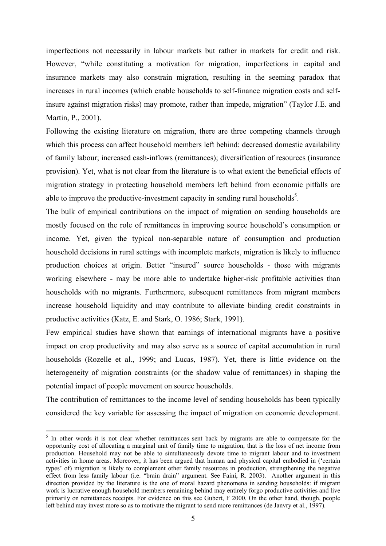imperfections not necessarily in labour markets but rather in markets for credit and risk. However, "while constituting a motivation for migration, imperfections in capital and insurance markets may also constrain migration, resulting in the seeming paradox that increases in rural incomes (which enable households to self-finance migration costs and selfinsure against migration risks) may promote, rather than impede, migration" (Taylor J.E. and Martin, P., 2001).

Following the existing literature on migration, there are three competing channels through which this process can affect household members left behind: decreased domestic availability of family labour; increased cash-inflows (remittances); diversification of resources (insurance provision). Yet, what is not clear from the literature is to what extent the beneficial effects of migration strategy in protecting household members left behind from economic pitfalls are able to improve the productive-investment capacity in sending rural households<sup>5</sup>.

The bulk of empirical contributions on the impact of migration on sending households are mostly focused on the role of remittances in improving source household's consumption or income. Yet, given the typical non-separable nature of consumption and production household decisions in rural settings with incomplete markets, migration is likely to influence production choices at origin. Better "insured" source households - those with migrants working elsewhere - may be more able to undertake higher-risk profitable activities than households with no migrants. Furthermore, subsequent remittances from migrant members increase household liquidity and may contribute to alleviate binding credit constraints in productive activities (Katz, E. and Stark, O. 1986; Stark, 1991).

Few empirical studies have shown that earnings of international migrants have a positive impact on crop productivity and may also serve as a source of capital accumulation in rural households (Rozelle et al., 1999; and Lucas, 1987). Yet, there is little evidence on the heterogeneity of migration constraints (or the shadow value of remittances) in shaping the potential impact of people movement on source households.

The contribution of remittances to the income level of sending households has been typically considered the key variable for assessing the impact of migration on economic development.

<sup>&</sup>lt;sup>5</sup> In other words it is not clear whether remittances sent back by migrants are able to compensate for the opportunity cost of allocating a marginal unit of family time to migration, that is the loss of net income from production. Household may not be able to simultaneously devote time to migrant labour and to investment activities in home areas. Moreover, it has been argued that human and physical capital embodied in ('certain types' of) migration is likely to complement other family resources in production, strengthening the negative effect from less family labour (i.e. "brain drain" argument. See Faini, R. 2003). Another argument in this direction provided by the literature is the one of moral hazard phenomena in sending households: if migrant work is lucrative enough household members remaining behind may entirely forgo productive activities and live primarily on remittances receipts. For evidence on this see Gubert, F 2000. On the other hand, though, people left behind may invest more so as to motivate the migrant to send more remittances (de Janvry et al., 1997).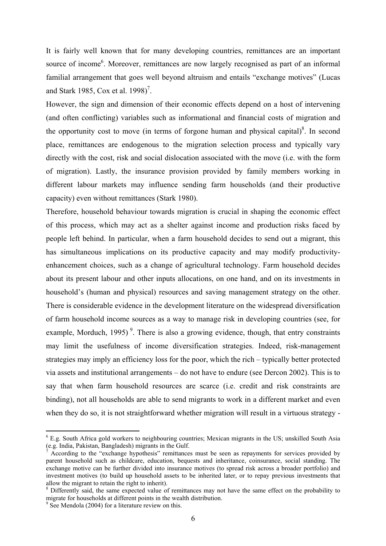It is fairly well known that for many developing countries, remittances are an important source of income<sup>6</sup>. Moreover, remittances are now largely recognised as part of an informal familial arrangement that goes well beyond altruism and entails "exchange motives" (Lucas and Stark 1985, Cox et al.  $1998$ <sup>7</sup>.

However, the sign and dimension of their economic effects depend on a host of intervening (and often conflicting) variables such as informational and financial costs of migration and the opportunity cost to move (in terms of forgone human and physical capital) $\delta$ . In second place, remittances are endogenous to the migration selection process and typically vary directly with the cost, risk and social dislocation associated with the move (i.e. with the form of migration). Lastly, the insurance provision provided by family members working in different labour markets may influence sending farm households (and their productive capacity) even without remittances (Stark 1980).

Therefore, household behaviour towards migration is crucial in shaping the economic effect of this process, which may act as a shelter against income and production risks faced by people left behind. In particular, when a farm household decides to send out a migrant, this has simultaneous implications on its productive capacity and may modify productivityenhancement choices, such as a change of agricultural technology. Farm household decides about its present labour and other inputs allocations, on one hand, and on its investments in household's (human and physical) resources and saving management strategy on the other. There is considerable evidence in the development literature on the widespread diversification of farm household income sources as a way to manage risk in developing countries (see, for example, Morduch, 1995)<sup>9</sup>. There is also a growing evidence, though, that entry constraints may limit the usefulness of income diversification strategies. Indeed, risk-management strategies may imply an efficiency loss for the poor, which the rich – typically better protected via assets and institutional arrangements – do not have to endure (see Dercon 2002). This is to say that when farm household resources are scarce (i.e. credit and risk constraints are binding), not all households are able to send migrants to work in a different market and even when they do so, it is not straightforward whether migration will result in a virtuous strategy -

<sup>&</sup>lt;sup>6</sup> E.g. South Africa gold workers to neighbouring countries; Mexican migrants in the US; unskilled South Asia (e.g. India, Pakistan, Bangladesh) migrants in the Gulf.

<sup>7</sup> According to the "exchange hypothesis" remittances must be seen as repayments for services provided by parent household such as childcare, education, bequests and inheritance, coinsurance, social standing. The exchange motive can be further divided into insurance motives (to spread risk across a broader portfolio) and investment motives (to build up household assets to be inherited later, or to repay previous investments that allow the migrant to retain the right to inherit).

<sup>&</sup>lt;sup>8</sup> Differently said, the same expected value of remittances may not have the same effect on the probability to migrate for households at different points in the wealth distribution.

<sup>&</sup>lt;sup>9</sup> See Mendola (2004) for a literature review on this.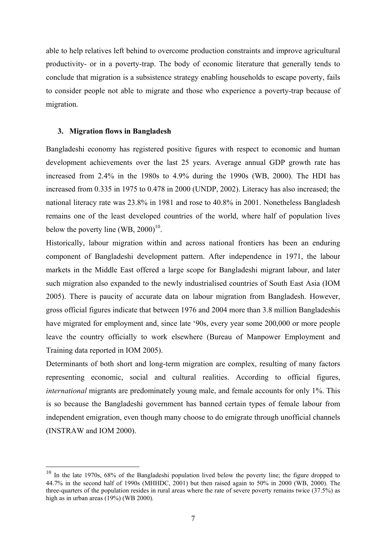able to help relatives left behind to overcome production constraints and improve agricultural productivity- or in a poverty-trap. The body of economic literature that generally tends to conclude that migration is a subsistence strategy enabling households to escape poverty, fails to consider people not able to migrate and those who experience a poverty-trap because of migration.

### **3. Migration flows in Bangladesh**

 $\overline{a}$ 

Bangladeshi economy has registered positive figures with respect to economic and human development achievements over the last 25 years. Average annual GDP growth rate has increased from 2.4% in the 1980s to 4.9% during the 1990s (WB, 2000). The HDI has increased from 0.335 in 1975 to 0.478 in 2000 (UNDP, 2002). Literacy has also increased; the national literacy rate was 23.8% in 1981 and rose to 40.8% in 2001. Nonetheless Bangladesh remains one of the least developed countries of the world, where half of population lives below the poverty line (WB,  $2000$ )<sup>10</sup>.

Historically, labour migration within and across national frontiers has been an enduring component of Bangladeshi development pattern. After independence in 1971, the labour markets in the Middle East offered a large scope for Bangladeshi migrant labour, and later such migration also expanded to the newly industrialised countries of South East Asia (IOM 2005). There is paucity of accurate data on labour migration from Bangladesh. However, gross official figures indicate that between 1976 and 2004 more than 3.8 million Bangladeshis have migrated for employment and, since late '90s, every year some 200,000 or more people leave the country officially to work elsewhere (Bureau of Manpower Employment and Training data reported in IOM 2005).

Determinants of both short and long-term migration are complex, resulting of many factors representing economic, social and cultural realities. According to official figures, *international* migrants are predominately young male, and female accounts for only 1%. This is so because the Bangladeshi government has banned certain types of female labour from independent emigration, even though many choose to do emigrate through unofficial channels (INSTRAW and IOM 2000).

<sup>&</sup>lt;sup>10</sup> In the late 1970s, 68% of the Bangladeshi population lived below the poverty line; the figure dropped to 44.7% in the second half of 1990s (MHHDC, 2001) but then raised again to 50% in 2000 (WB, 2000). The three-quarters of the population resides in rural areas where the rate of severe poverty remains twice (37.5%) as high as in urban areas (19%) (WB 2000).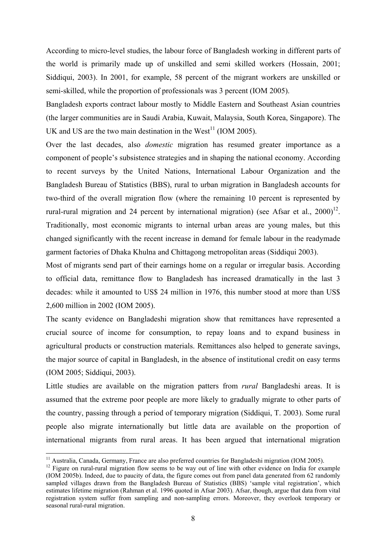According to micro-level studies, the labour force of Bangladesh working in different parts of the world is primarily made up of unskilled and semi skilled workers (Hossain, 2001; Siddiqui, 2003). In 2001, for example, 58 percent of the migrant workers are unskilled or semi-skilled, while the proportion of professionals was 3 percent (IOM 2005).

Bangladesh exports contract labour mostly to Middle Eastern and Southeast Asian countries (the larger communities are in Saudi Arabia, Kuwait, Malaysia, South Korea, Singapore). The UK and US are the two main destination in the West<sup>11</sup> (IOM 2005).

Over the last decades, also *domestic* migration has resumed greater importance as a component of people's subsistence strategies and in shaping the national economy. According to recent surveys by the United Nations, International Labour Organization and the Bangladesh Bureau of Statistics (BBS), rural to urban migration in Bangladesh accounts for two-third of the overall migration flow (where the remaining 10 percent is represented by rural-rural migration and 24 percent by international migration) (see Afsar et al.,  $2000$ <sup>12</sup>. Traditionally, most economic migrants to internal urban areas are young males, but this changed significantly with the recent increase in demand for female labour in the readymade garment factories of Dhaka Khulna and Chittagong metropolitan areas (Siddiqui 2003).

Most of migrants send part of their earnings home on a regular or irregular basis. According to official data, remittance flow to Bangladesh has increased dramatically in the last 3 decades: while it amounted to US\$ 24 million in 1976, this number stood at more than US\$ 2,600 million in 2002 (IOM 2005).

The scanty evidence on Bangladeshi migration show that remittances have represented a crucial source of income for consumption, to repay loans and to expand business in agricultural products or construction materials. Remittances also helped to generate savings, the major source of capital in Bangladesh, in the absence of institutional credit on easy terms (IOM 2005; Siddiqui, 2003).

Little studies are available on the migration patters from *rural* Bangladeshi areas. It is assumed that the extreme poor people are more likely to gradually migrate to other parts of the country, passing through a period of temporary migration (Siddiqui, T. 2003). Some rural people also migrate internationally but little data are available on the proportion of international migrants from rural areas. It has been argued that international migration

<sup>&</sup>lt;sup>11</sup> Australia, Canada, Germany, France are also preferred countries for Bangladeshi migration (IOM 2005).<br><sup>12</sup> Figure on rural-rural migration flow seems to be way out of line with other evidence on India for example (IOM 2005b). Indeed, due to paucity of data, the figure comes out from panel data generated from 62 randomly sampled villages drawn from the Bangladesh Bureau of Statistics (BBS) 'sample vital registration', which estimates lifetime migration (Rahman et al. 1996 quoted in Afsar 2003). Afsar, though, argue that data from vital registration system suffer from sampling and non-sampling errors. Moreover, they overlook temporary or seasonal rural-rural migration.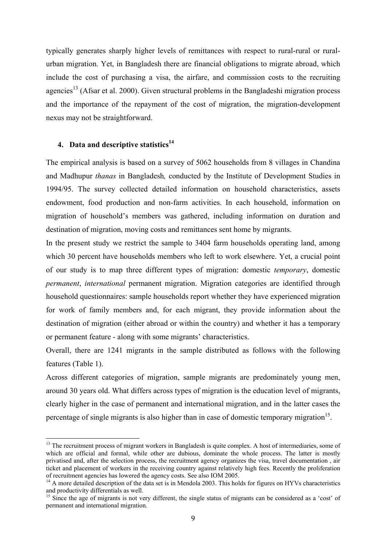typically generates sharply higher levels of remittances with respect to rural-rural or ruralurban migration. Yet, in Bangladesh there are financial obligations to migrate abroad, which include the cost of purchasing a visa, the airfare, and commission costs to the recruiting agencies<sup>13</sup> (Afsar et al. 2000). Given structural problems in the Bangladeshi migration process and the importance of the repayment of the cost of migration, the migration-development nexus may not be straightforward.

## **4. Data and descriptive statistics<sup>14</sup>**

 $\overline{a}$ 

The empirical analysis is based on a survey of 5062 households from 8 villages in Chandina and Madhupur *thanas* in Bangladesh*,* conducted by the Institute of Development Studies in 1994/95. The survey collected detailed information on household characteristics, assets endowment, food production and non-farm activities. In each household, information on migration of household's members was gathered, including information on duration and destination of migration, moving costs and remittances sent home by migrants.

In the present study we restrict the sample to 3404 farm households operating land, among which 30 percent have households members who left to work elsewhere. Yet, a crucial point of our study is to map three different types of migration: domestic *temporary*, domestic *permanent*, *international* permanent migration. Migration categories are identified through household questionnaires: sample households report whether they have experienced migration for work of family members and, for each migrant, they provide information about the destination of migration (either abroad or within the country) and whether it has a temporary or permanent feature - along with some migrants' characteristics.

Overall, there are 1241 migrants in the sample distributed as follows with the following features (Table 1).

Across different categories of migration, sample migrants are predominately young men, around 30 years old. What differs across types of migration is the education level of migrants, clearly higher in the case of permanent and international migration, and in the latter cases the percentage of single migrants is also higher than in case of domestic temporary migration<sup>15</sup>.

<sup>&</sup>lt;sup>13</sup> The recruitment process of migrant workers in Bangladesh is quite complex. A host of intermediaries, some of which are official and formal, while other are dubious, dominate the whole process. The latter is mostly privatised and, after the selection process, the recruitment agency organizes the visa, travel documentation , air ticket and placement of workers in the receiving country against relatively high fees. Recently the proliferation of recruitment agencies has lowered the agency costs. See also IOM 2005.

 $14$  A more detailed description of the data set is in Mendola 2003. This holds for figures on HYVs characteristics and productivity differentials as well.

<sup>&</sup>lt;sup>15</sup> Since the age of migrants is not very different, the single status of migrants can be considered as a 'cost' of permanent and international migration.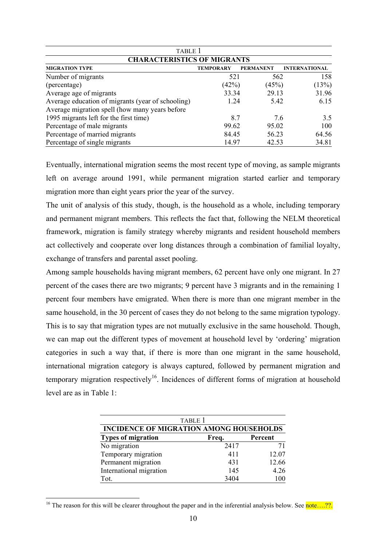| TABLE 1                                           |                  |                  |                      |  |  |  |  |
|---------------------------------------------------|------------------|------------------|----------------------|--|--|--|--|
| <b>CHARACTERISTICS OF MIGRANTS</b>                |                  |                  |                      |  |  |  |  |
| <b>MIGRATION TYPE</b>                             | <b>TEMPORARY</b> | <b>PERMANENT</b> | <b>INTERNATIONAL</b> |  |  |  |  |
| Number of migrants                                | 521              | 562              | 158                  |  |  |  |  |
| (percentage)                                      | (42%)            | (45%)            | (13%)                |  |  |  |  |
| Average age of migrants                           | 33.34            | 29.13            | 31.96                |  |  |  |  |
| Average education of migrants (year of schooling) | 1.24             | 5.42             | 6.15                 |  |  |  |  |
| Average migration spell (how many years before    |                  |                  |                      |  |  |  |  |
| 1995 migrants left for the first time)            | 8.7              | 7.6              | 3.5                  |  |  |  |  |
| Percentage of male migrants                       | 99.62            | 95.02            | 100                  |  |  |  |  |
| Percentage of married migrants                    | 84.45            | 56.23            | 64.56                |  |  |  |  |
| Percentage of single migrants                     | 14.97            | 42.53            | 34.81                |  |  |  |  |

Eventually, international migration seems the most recent type of moving, as sample migrants left on average around 1991, while permanent migration started earlier and temporary migration more than eight years prior the year of the survey.

The unit of analysis of this study, though, is the household as a whole, including temporary and permanent migrant members. This reflects the fact that, following the NELM theoretical framework, migration is family strategy whereby migrants and resident household members act collectively and cooperate over long distances through a combination of familial loyalty, exchange of transfers and parental asset pooling.

Among sample households having migrant members, 62 percent have only one migrant. In 27 percent of the cases there are two migrants; 9 percent have 3 migrants and in the remaining 1 percent four members have emigrated. When there is more than one migrant member in the same household, in the 30 percent of cases they do not belong to the same migration typology. This is to say that migration types are not mutually exclusive in the same household. Though, we can map out the different types of movement at household level by 'ordering' migration categories in such a way that, if there is more than one migrant in the same household, international migration category is always captured, followed by permanent migration and temporary migration respectively<sup>16</sup>. Incidences of different forms of migration at household level are as in Table 1:

| <b>TABLE 1</b>                                 |      |       |  |  |  |  |  |
|------------------------------------------------|------|-------|--|--|--|--|--|
| <b>INCIDENCE OF MIGRATION AMONG HOUSEHOLDS</b> |      |       |  |  |  |  |  |
| <b>Types of migration</b><br>Percent<br>Freq.  |      |       |  |  |  |  |  |
| No migration                                   | 2417 | 71    |  |  |  |  |  |
| Temporary migration                            | 411  | 12.07 |  |  |  |  |  |
| Permanent migration                            | 431  | 12.66 |  |  |  |  |  |
| International migration                        | 145  | 4.26  |  |  |  |  |  |
| Tot.                                           | 3404 | 100   |  |  |  |  |  |

 $\overline{a}$ <sup>16</sup> The reason for this will be clearer throughout the paper and in the inferential analysis below. See **note** ....??.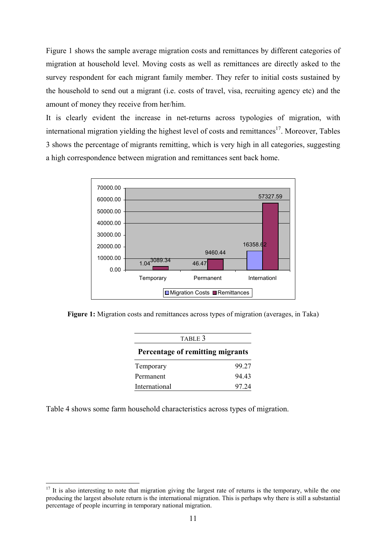Figure 1 shows the sample average migration costs and remittances by different categories of migration at household level. Moving costs as well as remittances are directly asked to the survey respondent for each migrant family member. They refer to initial costs sustained by the household to send out a migrant (i.e. costs of travel, visa, recruiting agency etc) and the amount of money they receive from her/him.

It is clearly evident the increase in net-returns across typologies of migration, with international migration yielding the highest level of costs and remittances<sup>17</sup>. Moreover, Tables 3 shows the percentage of migrants remitting, which is very high in all categories, suggesting a high correspondence between migration and remittances sent back home.



**Figure 1:** Migration costs and remittances across types of migration (averages, in Taka)

| TABLE 3                          |       |  |  |  |  |
|----------------------------------|-------|--|--|--|--|
| Percentage of remitting migrants |       |  |  |  |  |
| Temporary                        | 99.27 |  |  |  |  |
| Permanent                        | 94 43 |  |  |  |  |
| International                    | 97 24 |  |  |  |  |

Table 4 shows some farm household characteristics across types of migration.

 $17$  It is also interesting to note that migration giving the largest rate of returns is the temporary, while the one producing the largest absolute return is the international migration. This is perhaps why there is still a substantial percentage of people incurring in temporary national migration.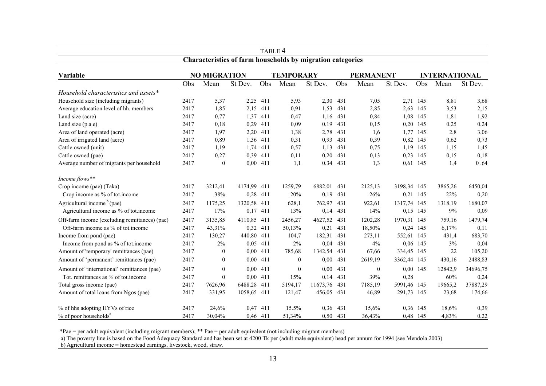|                                                                   |                                                                                     |                  |             | TABLE 4  |                  |          |     |              |             |          |         |          |
|-------------------------------------------------------------------|-------------------------------------------------------------------------------------|------------------|-------------|----------|------------------|----------|-----|--------------|-------------|----------|---------|----------|
| <b>Characteristics of farm households by migration categories</b> |                                                                                     |                  |             |          |                  |          |     |              |             |          |         |          |
| Variable                                                          | <b>NO MIGRATION</b><br><b>TEMPORARY</b><br><b>PERMANENT</b><br><b>INTERNATIONAL</b> |                  |             |          |                  |          |     |              |             |          |         |          |
|                                                                   | Obs                                                                                 | Mean             | St Dev.     | Obs      | Mean             | St Dev.  | Obs | Mean         | St Dev.     | Obs      | Mean    | St Dev.  |
| Household characteristics and assets*                             |                                                                                     |                  |             |          |                  |          |     |              |             |          |         |          |
| Household size (including migrants)                               | 2417                                                                                | 5,37             | 2,25        | 411      | 5,93             | 2,30     | 431 | 7,05         |             | 2,71 145 | 8,81    | 3,68     |
| Average education level of hh. members                            | 2417                                                                                | 1,85             | 2,15        | 411      | 0,91             | 1,53     | 431 | 2,85         | 2,63        | 145      | 3,53    | 2,15     |
| Land size (acre)                                                  | 2417                                                                                | 0,77             | 1,37        | 411      | 0,47             | 1,16     | 431 | 0,84         | 1,08        | 145      | 1,81    | 1,92     |
| Land size $(p.a.e)$                                               | 2417                                                                                | 0,18             |             | 0,29 411 | 0,09             | 0,19     | 431 | 0,15         |             | 0,20 145 | 0,25    | 0,24     |
| Area of land operated (acre)                                      | 2417                                                                                | 1,97             |             | 2,20 411 | 1,38             | 2,78     | 431 | 1,6          | 1,77        | 145      | 2,8     | 3,06     |
| Area of irrigated land (acre)                                     | 2417                                                                                | 0,89             |             | 1,36 411 | 0,31             | 0,93     | 431 | 0,39         | 0,82        | 145      | 0,62    | 0,73     |
| Cattle owned (unit)                                               | 2417                                                                                | 1,19             |             | 1,74 411 | 0,57             | 1,13     | 431 | 0,75         |             | 1,19 145 | 1,15    | 1,45     |
| Cattle owned (pae)                                                | 2417                                                                                | 0,27             |             | 0,39 411 | 0,11             | 0,20     | 431 | 0,13         |             | 0,23 145 | 0,15    | 0,18     |
| Average number of migrants per household                          | 2417                                                                                | $\theta$         |             | 0,00 411 | 1,1              | 0,34     | 431 | 1,3          | 0,61        | 145      | 1,4     | 0.64     |
| Income flows**                                                    |                                                                                     |                  |             |          |                  |          |     |              |             |          |         |          |
| Crop income (pae) (Taka)                                          | 2417                                                                                | 3212,41          | 4174,99 411 |          | 1259,79          | 6882,01  | 431 | 2125,13      | 3198,34 145 |          | 3865,26 | 6450,04  |
| Crop income as % of tot.income                                    | 2417                                                                                | 38%              |             | 0,28 411 | 20%              | 0,19     | 431 | 26%          |             | 0,21 145 | 22%     | 0,20     |
| Agricultural income $b$ (pae)                                     | 2417                                                                                | 1175,25          | 1320,58 411 |          | 628,1            | 762,97   | 431 | 922,61       | 1317,74     | 145      | 1318,19 | 1680,07  |
| Agricultural income as % of tot.income                            | 2417                                                                                | 17%              |             | 0,17 411 | 13%              | 0,14     | 431 | 14%          | 0.15        | 145      | 9%      | 0.09     |
| Off-farm income (excluding remittances) (pae)                     | 2417                                                                                | 3135,85          | 4110,85 411 |          | 2456,27          | 4627,52  | 431 | 1202,28      | 1970,31     | 145      | 759,16  | 1479,74  |
| Off-farm income as % of tot income                                | 2417                                                                                | 43,31%           |             | 0,32 411 | 50,13%           | 0,21     | 431 | 18,50%       | 0,24        | 145      | 6,17%   | 0,11     |
| Income from pond (pae)                                            | 2417                                                                                | 130,27           | 440,80 411  |          | 104,7            | 182,31   | 431 | 273,11       | 552,61      | 145      | 431,4   | 683,70   |
| Income from pond as % of tot.income                               | 2417                                                                                | 2%               |             | 0.05 411 | $2\%$            | 0,04     | 431 | 4%           |             | 0.06 145 | 3%      | 0,04     |
| Amount of 'temporary' remittances (pae)                           | 2417                                                                                | $\theta$         |             | 0,00 411 | 785,68           | 1342,54  | 431 | 67,66        | 334,45      | 145      | 22      | 105,20   |
| Amount of 'permanent' remittances (pae)                           | 2417                                                                                | $\boldsymbol{0}$ |             | 0,00 411 | $\boldsymbol{0}$ | 0,00     | 431 | 2619,19      | 3362,44     | 145      | 430,16  | 2488,83  |
| Amount of 'international' remittances (pae)                       | 2417                                                                                | $\theta$         |             | 0.00 411 | $\mathbf{0}$     | 0,00     | 431 | $\mathbf{0}$ |             | 0.00 145 | 12842,9 | 34696,75 |
| Tot. remittances as % of tot.income                               | 2417                                                                                | $\theta$         |             | 0,00 411 | 15%              | 0,14     | 431 | 39%          | 0,28        |          | 60%     | 0,24     |
| Total gross income (pae)                                          | 2417                                                                                | 7626,96          | 6488,28     | 411      | 5194,17          | 11673,76 | 431 | 7185,19      | 5991,46 145 |          | 19665,2 | 37887,29 |
| Amount of total loans from Ngos (pae)                             | 2417                                                                                | 331,95           | 1058,65 411 |          | 121,47           | 456,05   | 431 | 46,89        | 291,73 145  |          | 23,68   | 174,66   |
| % of hhs adopting HYVs of rice                                    | 2417                                                                                | 24,6%            |             | 0.47 411 | 15.5%            | 0.36     | 431 | 15,6%        |             | 0.36 145 | 18,6%   | 0,39     |
| $%$ of poor households <sup>a</sup>                               | 2417                                                                                | 30,04%           |             | 0.46 411 | 51,34%           | 0,50     | 431 | 36,43%       |             | 0.48 145 | 4,83%   | 0,22     |

\*Pae = per adult equivalent (including migrant members); \*\* Pae = per adult equivalent (not including migrant members)

a) The poverty line is based on the Food Adequacy Standard and has been set at 4200 Tk per (adult male equivalent) head per annum for 1994 (see Mendola 2003)

b) Agricultural income = homestead earnings, livestock, wood, straw.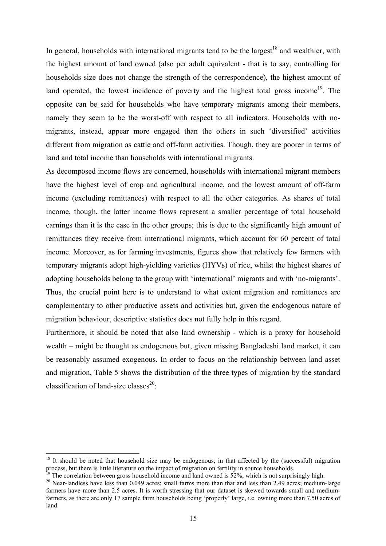In general, households with international migrants tend to be the largest<sup>18</sup> and wealthier, with the highest amount of land owned (also per adult equivalent - that is to say, controlling for households size does not change the strength of the correspondence), the highest amount of land operated, the lowest incidence of poverty and the highest total gross income<sup>19</sup>. The opposite can be said for households who have temporary migrants among their members, namely they seem to be the worst-off with respect to all indicators. Households with nomigrants, instead, appear more engaged than the others in such 'diversified' activities different from migration as cattle and off-farm activities. Though, they are poorer in terms of land and total income than households with international migrants.

As decomposed income flows are concerned, households with international migrant members have the highest level of crop and agricultural income, and the lowest amount of off-farm income (excluding remittances) with respect to all the other categories. As shares of total income, though, the latter income flows represent a smaller percentage of total household earnings than it is the case in the other groups; this is due to the significantly high amount of remittances they receive from international migrants, which account for 60 percent of total income. Moreover, as for farming investments, figures show that relatively few farmers with temporary migrants adopt high-yielding varieties (HYVs) of rice, whilst the highest shares of adopting households belong to the group with 'international' migrants and with 'no-migrants'. Thus, the crucial point here is to understand to what extent migration and remittances are complementary to other productive assets and activities but, given the endogenous nature of migration behaviour, descriptive statistics does not fully help in this regard.

Furthermore, it should be noted that also land ownership - which is a proxy for household wealth – might be thought as endogenous but, given missing Bangladeshi land market, it can be reasonably assumed exogenous. In order to focus on the relationship between land asset and migration, Table 5 shows the distribution of the three types of migration by the standard classification of land-size classes<sup>20.</sup>

 $18$  It should be noted that household size may be endogenous, in that affected by the (successful) migration process, but there is little literature on the impact of migration on fertility in source households.<br><sup>19</sup> The correlation between gross household income and land owned is 52%, which is not surprisingly high.

<sup>&</sup>lt;sup>20</sup> Near-landless have less than 0.049 acres; small farms more than that and less than 2.49 acres; medium-large farmers have more than 2.5 acres. It is worth stressing that our dataset is skewed towards small and mediumfarmers, as there are only 17 sample farm households being 'properly' large, i.e. owning more than 7.50 acres of land.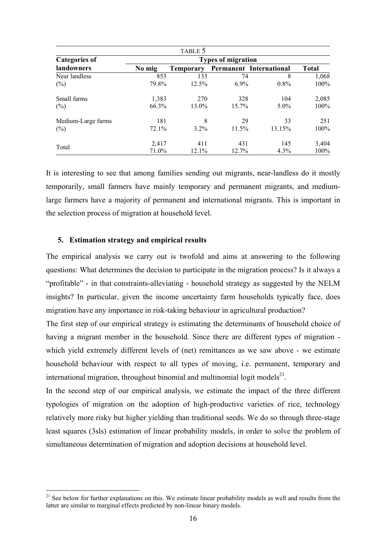|                      |        | TABLE 5                   |          |                                |              |  |  |  |  |  |
|----------------------|--------|---------------------------|----------|--------------------------------|--------------|--|--|--|--|--|
| <b>Categories of</b> |        | <b>Types of migration</b> |          |                                |              |  |  |  |  |  |
| landowners           | No mig | <b>Temporary</b>          |          | <b>Permanent International</b> | <b>Total</b> |  |  |  |  |  |
| Near landless        | 853    | 133                       | 74       | 8                              | 1,068        |  |  |  |  |  |
| $(\%)$               | 79.8%  | 12.5%                     | 6.9%     | $0.8\%$                        | 100%         |  |  |  |  |  |
| Small farms          | 1,383  | 270                       | 328      | 104                            | 2,085        |  |  |  |  |  |
| $(\%)$               | 66.3%  | 13.0%                     | $15.7\%$ | $5.0\%$                        | $100\%$      |  |  |  |  |  |
| Medium-Large farms   | 181    | 8                         | 29       | 33                             | 251          |  |  |  |  |  |
| $(\%)$               | 72.1%  | $3.2\%$                   | 11.5%    | 13.15%                         | 100%         |  |  |  |  |  |
|                      | 2,417  | 411                       | 431      | 145                            | 3,404        |  |  |  |  |  |
| Total                | 71.0%  | 12.1%                     | 12.7%    | 4.3%                           | 100%         |  |  |  |  |  |

It is interesting to see that among families sending out migrants, near-landless do it mostly temporarily, small farmers have mainly temporary and permanent migrants, and mediumlarge farmers have a majority of permanent and international migrants. This is important in the selection process of migration at household level.

#### **5. Estimation strategy and empirical results**

 $\overline{a}$ 

The empirical analysis we carry out is twofold and aims at answering to the following questions: What determines the decision to participate in the migration process? Is it always a "profitable" - in that constraints-alleviating - household strategy as suggested by the NELM insights? In particular, given the income uncertainty farm households typically face, does migration have any importance in risk-taking behaviour in agricultural production?

The first step of our empirical strategy is estimating the determinants of household choice of having a migrant member in the household. Since there are different types of migration which yield extremely different levels of (net) remittances as we saw above - we estimate household behaviour with respect to all types of moving, i.e. permanent, temporary and international migration, throughout binomial and multinomial logit models<sup>21</sup>.

In the second step of our empirical analysis, we estimate the impact of the three different typologies of migration on the adoption of high-productive varieties of rice, technology relatively more risky but higher yielding than traditional seeds. We do so through three-stage least squares (3sls) estimation of linear probability models, in order to solve the problem of simultaneous determination of migration and adoption decisions at household level.

<sup>&</sup>lt;sup>21</sup> See below for further explanations on this. We estimate linear probability models as well and results from the latter are similar to marginal effects predicted by non-linear binary models.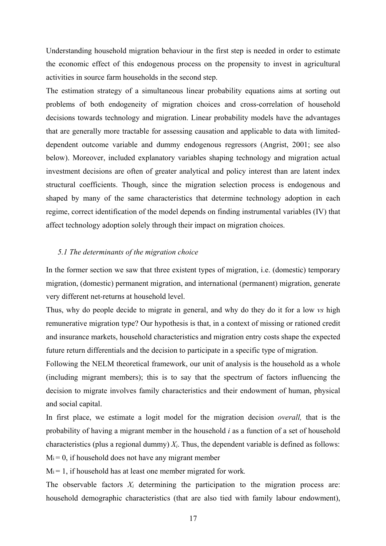Understanding household migration behaviour in the first step is needed in order to estimate the economic effect of this endogenous process on the propensity to invest in agricultural activities in source farm households in the second step.

The estimation strategy of a simultaneous linear probability equations aims at sorting out problems of both endogeneity of migration choices and cross-correlation of household decisions towards technology and migration. Linear probability models have the advantages that are generally more tractable for assessing causation and applicable to data with limiteddependent outcome variable and dummy endogenous regressors (Angrist, 2001; see also below). Moreover, included explanatory variables shaping technology and migration actual investment decisions are often of greater analytical and policy interest than are latent index structural coefficients. Though, since the migration selection process is endogenous and shaped by many of the same characteristics that determine technology adoption in each regime, correct identification of the model depends on finding instrumental variables (IV) that affect technology adoption solely through their impact on migration choices.

## *5.1 The determinants of the migration choice*

In the former section we saw that three existent types of migration, i.e. (domestic) temporary migration, (domestic) permanent migration, and international (permanent) migration, generate very different net-returns at household level.

Thus, why do people decide to migrate in general, and why do they do it for a low *vs* high remunerative migration type? Our hypothesis is that, in a context of missing or rationed credit and insurance markets, household characteristics and migration entry costs shape the expected future return differentials and the decision to participate in a specific type of migration.

Following the NELM theoretical framework, our unit of analysis is the household as a whole (including migrant members); this is to say that the spectrum of factors influencing the decision to migrate involves family characteristics and their endowment of human, physical and social capital.

In first place, we estimate a logit model for the migration decision *overall,* that is the probability of having a migrant member in the household *i* as a function of a set of household characteristics (plus a regional dummy) *Xi*. Thus, the dependent variable is defined as follows:  $M_i = 0$ , if household does not have any migrant member

M<sub>i</sub> = 1, if household has at least one member migrated for work.

The observable factors  $X_i$  determining the participation to the migration process are: household demographic characteristics (that are also tied with family labour endowment),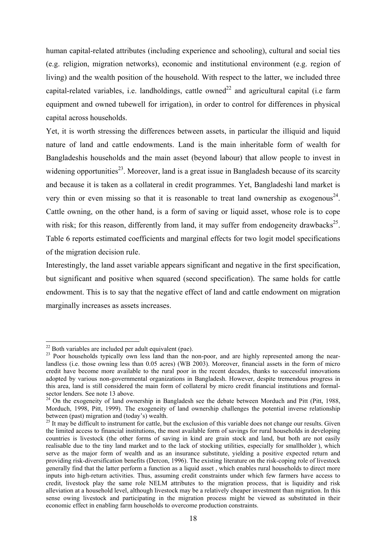human capital-related attributes (including experience and schooling), cultural and social ties (e.g. religion, migration networks), economic and institutional environment (e.g. region of living) and the wealth position of the household. With respect to the latter, we included three capital-related variables, i.e. landholdings, cattle owned<sup>22</sup> and agricultural capital (i.e farm equipment and owned tubewell for irrigation), in order to control for differences in physical capital across households.

Yet, it is worth stressing the differences between assets, in particular the illiquid and liquid nature of land and cattle endowments. Land is the main inheritable form of wealth for Bangladeshis households and the main asset (beyond labour) that allow people to invest in widening opportunities<sup>23</sup>. Moreover, land is a great issue in Bangladesh because of its scarcity and because it is taken as a collateral in credit programmes. Yet, Bangladeshi land market is very thin or even missing so that it is reasonable to treat land ownership as exogenous<sup>24</sup>. Cattle owning, on the other hand, is a form of saving or liquid asset, whose role is to cope with risk; for this reason, differently from land, it may suffer from endogeneity drawbacks<sup>25</sup>. Table 6 reports estimated coefficients and marginal effects for two logit model specifications of the migration decision rule.

Interestingly, the land asset variable appears significant and negative in the first specification, but significant and positive when squared (second specification). The same holds for cattle endowment. This is to say that the negative effect of land and cattle endowment on migration marginally increases as assets increases.

 $\overline{a}$ 22 Both variables are included per adult equivalent (pae).

<sup>&</sup>lt;sup>23</sup> Poor households typically own less land than the non-poor, and are highly represented among the nearlandless (i.e. those owning less than 0.05 acres) (WB 2003). Moreover, financial assets in the form of micro credit have become more available to the rural poor in the recent decades, thanks to successful innovations adopted by various non-governmental organizations in Bangladesh. However, despite tremendous progress in this area, land is still considered the main form of collateral by micro credit financial institutions and formalsector lenders. See note 13 above.

<sup>&</sup>lt;sup>24</sup> On the exogeneity of land ownership in Bangladesh see the debate between Morduch and Pitt (Pitt, 1988, Morduch, 1998, Pitt, 1999). The exogeneity of land ownership challenges the potential inverse relationship between (past) migration and (today's) wealth.

 $^{25}$  It may be difficult to instrument for cattle, but the exclusion of this variable does not change our results. Given the limited access to financial institutions, the most available form of savings for rural households in developing countries is livestock (the other forms of saving in kind are grain stock and land, but both are not easily realisable due to the tiny land market and to the lack of stocking utilities, especially for smallholder ), which serve as the major form of wealth and as an insurance substitute, yielding a positive expected return and providing risk-diversification benefits (Dercon, 1996). The existing literature on the risk-coping role of livestock generally find that the latter perform a function as a liquid asset , which enables rural households to direct more inputs into high-return activities. Thus, assuming credit constraints under which few farmers have access to credit, livestock play the same role NELM attributes to the migration process, that is liquidity and risk alleviation at a household level, although livestock may be a relatively cheaper investment than migration. In this sense owing livestock and participating in the migration process might be viewed as substituted in their economic effect in enabling farm households to overcome production constraints.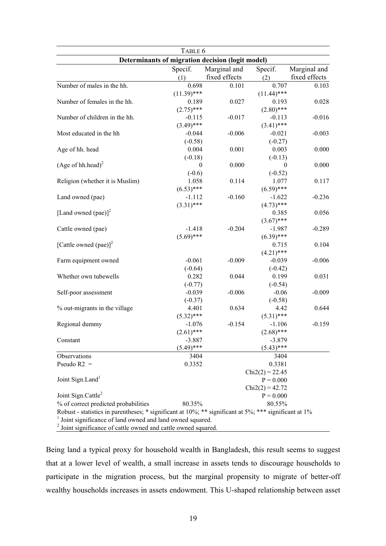| Determinants of migration decision (logit model)<br>Specif.<br>Specif.<br>Marginal and<br>Marginal and<br>fixed effects<br>fixed effects<br>(1)<br>(2)<br>Number of males in the hh.<br>0.698<br>0.101<br>0.707<br>$(11.39)$ ***<br>$(11.44)$ ***<br>Number of females in the hh.<br>0.027<br>0.189<br>0.193<br>$(2.80)$ ***<br>$(2.75)$ ***<br>Number of children in the hh.<br>$-0.115$<br>$-0.017$<br>$-0.113$<br>$(3.49)$ ***<br>$(3.41)$ ***<br>Most educated in the hh<br>$-0.044$<br>$-0.006$<br>$-0.021$<br>$-0.003$<br>$(-0.58)$<br>$(-0.27)$<br>0.004<br>0.001<br>0.003<br>Age of hh. head<br>$(-0.18)$<br>$(-0.13)$<br>(Age of hh.head) <sup>2</sup><br>0.000<br>$\theta$<br>$\theta$<br>$(-0.52)$<br>$(-0.6)$<br>1.058<br>Religion (whether it is Muslim)<br>0.114<br>1.077<br>$(6.59)$ ***<br>$(6.53)$ ***<br>$-1.112$<br>$-0.160$<br>$-1.622$<br>Land owned (pae)<br>$(3.31)$ ***<br>$(4.73)$ ***<br>[Land owned (pae)] <sup>2</sup><br>0.385<br>$(3.67)$ ***<br>$-1.418$<br>$-0.204$<br>$-1.987$<br>Cattle owned (pae)<br>$(5.69)$ ***<br>$(6.39)$ ***<br>[Cattle owned (pae)] <sup>2</sup><br>0.715<br>$(4.21)$ ***<br>$-0.061$<br>$-0.009$<br>$-0.039$<br>Farm equipment owned<br>$(-0.64)$<br>$(-0.42)$<br>0.282<br>0.044<br>0.199<br>0.031<br>Whether own tubewells<br>$(-0.77)$<br>$(-0.54)$<br>$-0.039$<br>$-0.006$<br>$-0.06$<br>Self-poor assessment<br>$(-0.37)$<br>$(-0.58)$<br>% out-migrants in the village<br>4.401<br>0.634<br>4.42<br>$(5.32)$ ***<br>$(5.31)$ ***<br>Regional dummy<br>$-1.076$<br>$-0.154$<br>$-1.106$<br>$(2.61)$ ***<br>$(2.68)$ ***<br>$-3.887$<br>$-3.879$<br>Constant<br>$(5.49)$ ***<br>$(5.43)$ ***<br>Observations<br>3404<br>3404<br>Pseudo $R2 =$<br>0.3352<br>0.3381<br>$Chi2(2) = 22.45$<br>Joint Sign.Land <sup>1</sup><br>$P = 0.000$<br>$Chi2(2) = 42.72$<br>Joint Sign.Cattle <sup>2</sup><br>$P = 0.000$<br>% of correct predicted probabilities<br>80.35%<br>80.55%<br>Robust - statistics in parentheses; * significant at 10%; ** significant at 5%; *** significant at 1%<br>Joint significance of land owned and land owned squared. | TABLE 6 |  |  |       |  |  |  |  |
|------------------------------------------------------------------------------------------------------------------------------------------------------------------------------------------------------------------------------------------------------------------------------------------------------------------------------------------------------------------------------------------------------------------------------------------------------------------------------------------------------------------------------------------------------------------------------------------------------------------------------------------------------------------------------------------------------------------------------------------------------------------------------------------------------------------------------------------------------------------------------------------------------------------------------------------------------------------------------------------------------------------------------------------------------------------------------------------------------------------------------------------------------------------------------------------------------------------------------------------------------------------------------------------------------------------------------------------------------------------------------------------------------------------------------------------------------------------------------------------------------------------------------------------------------------------------------------------------------------------------------------------------------------------------------------------------------------------------------------------------------------------------------------------------------------------------------------------------------------------------------------------------------------------------------------------------------------------------------------------------------------------------------------------------------------------------------------------------------------|---------|--|--|-------|--|--|--|--|
|                                                                                                                                                                                                                                                                                                                                                                                                                                                                                                                                                                                                                                                                                                                                                                                                                                                                                                                                                                                                                                                                                                                                                                                                                                                                                                                                                                                                                                                                                                                                                                                                                                                                                                                                                                                                                                                                                                                                                                                                                                                                                                            |         |  |  |       |  |  |  |  |
|                                                                                                                                                                                                                                                                                                                                                                                                                                                                                                                                                                                                                                                                                                                                                                                                                                                                                                                                                                                                                                                                                                                                                                                                                                                                                                                                                                                                                                                                                                                                                                                                                                                                                                                                                                                                                                                                                                                                                                                                                                                                                                            |         |  |  |       |  |  |  |  |
|                                                                                                                                                                                                                                                                                                                                                                                                                                                                                                                                                                                                                                                                                                                                                                                                                                                                                                                                                                                                                                                                                                                                                                                                                                                                                                                                                                                                                                                                                                                                                                                                                                                                                                                                                                                                                                                                                                                                                                                                                                                                                                            |         |  |  |       |  |  |  |  |
| 0.028<br>$-0.016$<br>0.000<br>0.000<br>0.117<br>$-0.236$<br>0.056<br>$-0.289$<br>0.104<br>$-0.006$<br>$-0.009$<br>0.644<br>$-0.159$                                                                                                                                                                                                                                                                                                                                                                                                                                                                                                                                                                                                                                                                                                                                                                                                                                                                                                                                                                                                                                                                                                                                                                                                                                                                                                                                                                                                                                                                                                                                                                                                                                                                                                                                                                                                                                                                                                                                                                        |         |  |  | 0.103 |  |  |  |  |
|                                                                                                                                                                                                                                                                                                                                                                                                                                                                                                                                                                                                                                                                                                                                                                                                                                                                                                                                                                                                                                                                                                                                                                                                                                                                                                                                                                                                                                                                                                                                                                                                                                                                                                                                                                                                                                                                                                                                                                                                                                                                                                            |         |  |  |       |  |  |  |  |
|                                                                                                                                                                                                                                                                                                                                                                                                                                                                                                                                                                                                                                                                                                                                                                                                                                                                                                                                                                                                                                                                                                                                                                                                                                                                                                                                                                                                                                                                                                                                                                                                                                                                                                                                                                                                                                                                                                                                                                                                                                                                                                            |         |  |  |       |  |  |  |  |
|                                                                                                                                                                                                                                                                                                                                                                                                                                                                                                                                                                                                                                                                                                                                                                                                                                                                                                                                                                                                                                                                                                                                                                                                                                                                                                                                                                                                                                                                                                                                                                                                                                                                                                                                                                                                                                                                                                                                                                                                                                                                                                            |         |  |  |       |  |  |  |  |
|                                                                                                                                                                                                                                                                                                                                                                                                                                                                                                                                                                                                                                                                                                                                                                                                                                                                                                                                                                                                                                                                                                                                                                                                                                                                                                                                                                                                                                                                                                                                                                                                                                                                                                                                                                                                                                                                                                                                                                                                                                                                                                            |         |  |  |       |  |  |  |  |
|                                                                                                                                                                                                                                                                                                                                                                                                                                                                                                                                                                                                                                                                                                                                                                                                                                                                                                                                                                                                                                                                                                                                                                                                                                                                                                                                                                                                                                                                                                                                                                                                                                                                                                                                                                                                                                                                                                                                                                                                                                                                                                            |         |  |  |       |  |  |  |  |
|                                                                                                                                                                                                                                                                                                                                                                                                                                                                                                                                                                                                                                                                                                                                                                                                                                                                                                                                                                                                                                                                                                                                                                                                                                                                                                                                                                                                                                                                                                                                                                                                                                                                                                                                                                                                                                                                                                                                                                                                                                                                                                            |         |  |  |       |  |  |  |  |
|                                                                                                                                                                                                                                                                                                                                                                                                                                                                                                                                                                                                                                                                                                                                                                                                                                                                                                                                                                                                                                                                                                                                                                                                                                                                                                                                                                                                                                                                                                                                                                                                                                                                                                                                                                                                                                                                                                                                                                                                                                                                                                            |         |  |  |       |  |  |  |  |
|                                                                                                                                                                                                                                                                                                                                                                                                                                                                                                                                                                                                                                                                                                                                                                                                                                                                                                                                                                                                                                                                                                                                                                                                                                                                                                                                                                                                                                                                                                                                                                                                                                                                                                                                                                                                                                                                                                                                                                                                                                                                                                            |         |  |  |       |  |  |  |  |
|                                                                                                                                                                                                                                                                                                                                                                                                                                                                                                                                                                                                                                                                                                                                                                                                                                                                                                                                                                                                                                                                                                                                                                                                                                                                                                                                                                                                                                                                                                                                                                                                                                                                                                                                                                                                                                                                                                                                                                                                                                                                                                            |         |  |  |       |  |  |  |  |
|                                                                                                                                                                                                                                                                                                                                                                                                                                                                                                                                                                                                                                                                                                                                                                                                                                                                                                                                                                                                                                                                                                                                                                                                                                                                                                                                                                                                                                                                                                                                                                                                                                                                                                                                                                                                                                                                                                                                                                                                                                                                                                            |         |  |  |       |  |  |  |  |
|                                                                                                                                                                                                                                                                                                                                                                                                                                                                                                                                                                                                                                                                                                                                                                                                                                                                                                                                                                                                                                                                                                                                                                                                                                                                                                                                                                                                                                                                                                                                                                                                                                                                                                                                                                                                                                                                                                                                                                                                                                                                                                            |         |  |  |       |  |  |  |  |
|                                                                                                                                                                                                                                                                                                                                                                                                                                                                                                                                                                                                                                                                                                                                                                                                                                                                                                                                                                                                                                                                                                                                                                                                                                                                                                                                                                                                                                                                                                                                                                                                                                                                                                                                                                                                                                                                                                                                                                                                                                                                                                            |         |  |  |       |  |  |  |  |
|                                                                                                                                                                                                                                                                                                                                                                                                                                                                                                                                                                                                                                                                                                                                                                                                                                                                                                                                                                                                                                                                                                                                                                                                                                                                                                                                                                                                                                                                                                                                                                                                                                                                                                                                                                                                                                                                                                                                                                                                                                                                                                            |         |  |  |       |  |  |  |  |
|                                                                                                                                                                                                                                                                                                                                                                                                                                                                                                                                                                                                                                                                                                                                                                                                                                                                                                                                                                                                                                                                                                                                                                                                                                                                                                                                                                                                                                                                                                                                                                                                                                                                                                                                                                                                                                                                                                                                                                                                                                                                                                            |         |  |  |       |  |  |  |  |
|                                                                                                                                                                                                                                                                                                                                                                                                                                                                                                                                                                                                                                                                                                                                                                                                                                                                                                                                                                                                                                                                                                                                                                                                                                                                                                                                                                                                                                                                                                                                                                                                                                                                                                                                                                                                                                                                                                                                                                                                                                                                                                            |         |  |  |       |  |  |  |  |
|                                                                                                                                                                                                                                                                                                                                                                                                                                                                                                                                                                                                                                                                                                                                                                                                                                                                                                                                                                                                                                                                                                                                                                                                                                                                                                                                                                                                                                                                                                                                                                                                                                                                                                                                                                                                                                                                                                                                                                                                                                                                                                            |         |  |  |       |  |  |  |  |
|                                                                                                                                                                                                                                                                                                                                                                                                                                                                                                                                                                                                                                                                                                                                                                                                                                                                                                                                                                                                                                                                                                                                                                                                                                                                                                                                                                                                                                                                                                                                                                                                                                                                                                                                                                                                                                                                                                                                                                                                                                                                                                            |         |  |  |       |  |  |  |  |
|                                                                                                                                                                                                                                                                                                                                                                                                                                                                                                                                                                                                                                                                                                                                                                                                                                                                                                                                                                                                                                                                                                                                                                                                                                                                                                                                                                                                                                                                                                                                                                                                                                                                                                                                                                                                                                                                                                                                                                                                                                                                                                            |         |  |  |       |  |  |  |  |
|                                                                                                                                                                                                                                                                                                                                                                                                                                                                                                                                                                                                                                                                                                                                                                                                                                                                                                                                                                                                                                                                                                                                                                                                                                                                                                                                                                                                                                                                                                                                                                                                                                                                                                                                                                                                                                                                                                                                                                                                                                                                                                            |         |  |  |       |  |  |  |  |
|                                                                                                                                                                                                                                                                                                                                                                                                                                                                                                                                                                                                                                                                                                                                                                                                                                                                                                                                                                                                                                                                                                                                                                                                                                                                                                                                                                                                                                                                                                                                                                                                                                                                                                                                                                                                                                                                                                                                                                                                                                                                                                            |         |  |  |       |  |  |  |  |
|                                                                                                                                                                                                                                                                                                                                                                                                                                                                                                                                                                                                                                                                                                                                                                                                                                                                                                                                                                                                                                                                                                                                                                                                                                                                                                                                                                                                                                                                                                                                                                                                                                                                                                                                                                                                                                                                                                                                                                                                                                                                                                            |         |  |  |       |  |  |  |  |
|                                                                                                                                                                                                                                                                                                                                                                                                                                                                                                                                                                                                                                                                                                                                                                                                                                                                                                                                                                                                                                                                                                                                                                                                                                                                                                                                                                                                                                                                                                                                                                                                                                                                                                                                                                                                                                                                                                                                                                                                                                                                                                            |         |  |  |       |  |  |  |  |
|                                                                                                                                                                                                                                                                                                                                                                                                                                                                                                                                                                                                                                                                                                                                                                                                                                                                                                                                                                                                                                                                                                                                                                                                                                                                                                                                                                                                                                                                                                                                                                                                                                                                                                                                                                                                                                                                                                                                                                                                                                                                                                            |         |  |  |       |  |  |  |  |
|                                                                                                                                                                                                                                                                                                                                                                                                                                                                                                                                                                                                                                                                                                                                                                                                                                                                                                                                                                                                                                                                                                                                                                                                                                                                                                                                                                                                                                                                                                                                                                                                                                                                                                                                                                                                                                                                                                                                                                                                                                                                                                            |         |  |  |       |  |  |  |  |
|                                                                                                                                                                                                                                                                                                                                                                                                                                                                                                                                                                                                                                                                                                                                                                                                                                                                                                                                                                                                                                                                                                                                                                                                                                                                                                                                                                                                                                                                                                                                                                                                                                                                                                                                                                                                                                                                                                                                                                                                                                                                                                            |         |  |  |       |  |  |  |  |
|                                                                                                                                                                                                                                                                                                                                                                                                                                                                                                                                                                                                                                                                                                                                                                                                                                                                                                                                                                                                                                                                                                                                                                                                                                                                                                                                                                                                                                                                                                                                                                                                                                                                                                                                                                                                                                                                                                                                                                                                                                                                                                            |         |  |  |       |  |  |  |  |
|                                                                                                                                                                                                                                                                                                                                                                                                                                                                                                                                                                                                                                                                                                                                                                                                                                                                                                                                                                                                                                                                                                                                                                                                                                                                                                                                                                                                                                                                                                                                                                                                                                                                                                                                                                                                                                                                                                                                                                                                                                                                                                            |         |  |  |       |  |  |  |  |
|                                                                                                                                                                                                                                                                                                                                                                                                                                                                                                                                                                                                                                                                                                                                                                                                                                                                                                                                                                                                                                                                                                                                                                                                                                                                                                                                                                                                                                                                                                                                                                                                                                                                                                                                                                                                                                                                                                                                                                                                                                                                                                            |         |  |  |       |  |  |  |  |
|                                                                                                                                                                                                                                                                                                                                                                                                                                                                                                                                                                                                                                                                                                                                                                                                                                                                                                                                                                                                                                                                                                                                                                                                                                                                                                                                                                                                                                                                                                                                                                                                                                                                                                                                                                                                                                                                                                                                                                                                                                                                                                            |         |  |  |       |  |  |  |  |
|                                                                                                                                                                                                                                                                                                                                                                                                                                                                                                                                                                                                                                                                                                                                                                                                                                                                                                                                                                                                                                                                                                                                                                                                                                                                                                                                                                                                                                                                                                                                                                                                                                                                                                                                                                                                                                                                                                                                                                                                                                                                                                            |         |  |  |       |  |  |  |  |
|                                                                                                                                                                                                                                                                                                                                                                                                                                                                                                                                                                                                                                                                                                                                                                                                                                                                                                                                                                                                                                                                                                                                                                                                                                                                                                                                                                                                                                                                                                                                                                                                                                                                                                                                                                                                                                                                                                                                                                                                                                                                                                            |         |  |  |       |  |  |  |  |
|                                                                                                                                                                                                                                                                                                                                                                                                                                                                                                                                                                                                                                                                                                                                                                                                                                                                                                                                                                                                                                                                                                                                                                                                                                                                                                                                                                                                                                                                                                                                                                                                                                                                                                                                                                                                                                                                                                                                                                                                                                                                                                            |         |  |  |       |  |  |  |  |
|                                                                                                                                                                                                                                                                                                                                                                                                                                                                                                                                                                                                                                                                                                                                                                                                                                                                                                                                                                                                                                                                                                                                                                                                                                                                                                                                                                                                                                                                                                                                                                                                                                                                                                                                                                                                                                                                                                                                                                                                                                                                                                            |         |  |  |       |  |  |  |  |
|                                                                                                                                                                                                                                                                                                                                                                                                                                                                                                                                                                                                                                                                                                                                                                                                                                                                                                                                                                                                                                                                                                                                                                                                                                                                                                                                                                                                                                                                                                                                                                                                                                                                                                                                                                                                                                                                                                                                                                                                                                                                                                            |         |  |  |       |  |  |  |  |
|                                                                                                                                                                                                                                                                                                                                                                                                                                                                                                                                                                                                                                                                                                                                                                                                                                                                                                                                                                                                                                                                                                                                                                                                                                                                                                                                                                                                                                                                                                                                                                                                                                                                                                                                                                                                                                                                                                                                                                                                                                                                                                            |         |  |  |       |  |  |  |  |
|                                                                                                                                                                                                                                                                                                                                                                                                                                                                                                                                                                                                                                                                                                                                                                                                                                                                                                                                                                                                                                                                                                                                                                                                                                                                                                                                                                                                                                                                                                                                                                                                                                                                                                                                                                                                                                                                                                                                                                                                                                                                                                            |         |  |  |       |  |  |  |  |
|                                                                                                                                                                                                                                                                                                                                                                                                                                                                                                                                                                                                                                                                                                                                                                                                                                                                                                                                                                                                                                                                                                                                                                                                                                                                                                                                                                                                                                                                                                                                                                                                                                                                                                                                                                                                                                                                                                                                                                                                                                                                                                            |         |  |  |       |  |  |  |  |
|                                                                                                                                                                                                                                                                                                                                                                                                                                                                                                                                                                                                                                                                                                                                                                                                                                                                                                                                                                                                                                                                                                                                                                                                                                                                                                                                                                                                                                                                                                                                                                                                                                                                                                                                                                                                                                                                                                                                                                                                                                                                                                            |         |  |  |       |  |  |  |  |
|                                                                                                                                                                                                                                                                                                                                                                                                                                                                                                                                                                                                                                                                                                                                                                                                                                                                                                                                                                                                                                                                                                                                                                                                                                                                                                                                                                                                                                                                                                                                                                                                                                                                                                                                                                                                                                                                                                                                                                                                                                                                                                            |         |  |  |       |  |  |  |  |
|                                                                                                                                                                                                                                                                                                                                                                                                                                                                                                                                                                                                                                                                                                                                                                                                                                                                                                                                                                                                                                                                                                                                                                                                                                                                                                                                                                                                                                                                                                                                                                                                                                                                                                                                                                                                                                                                                                                                                                                                                                                                                                            |         |  |  |       |  |  |  |  |
|                                                                                                                                                                                                                                                                                                                                                                                                                                                                                                                                                                                                                                                                                                                                                                                                                                                                                                                                                                                                                                                                                                                                                                                                                                                                                                                                                                                                                                                                                                                                                                                                                                                                                                                                                                                                                                                                                                                                                                                                                                                                                                            |         |  |  |       |  |  |  |  |

<sup>2</sup> Joint significance of cattle owned and cattle owned squared.

Being land a typical proxy for household wealth in Bangladesh, this result seems to suggest that at a lower level of wealth, a small increase in assets tends to discourage households to participate in the migration process, but the marginal propensity to migrate of better-off wealthy households increases in assets endowment. This U-shaped relationship between asset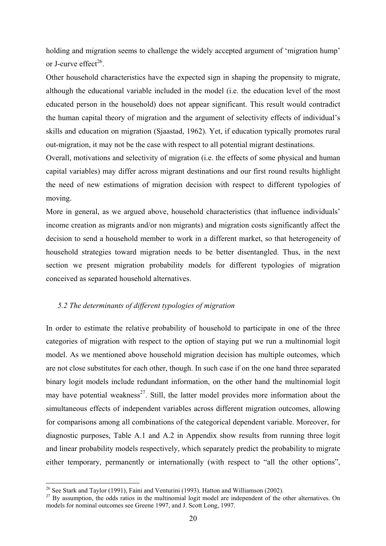holding and migration seems to challenge the widely accepted argument of 'migration hump' or J-curve effect $^{26}$ .

Other household characteristics have the expected sign in shaping the propensity to migrate, although the educational variable included in the model (i.e. the education level of the most educated person in the household) does not appear significant. This result would contradict the human capital theory of migration and the argument of selectivity effects of individual's skills and education on migration (Sjaastad, 1962). Yet, if education typically promotes rural out-migration, it may not be the case with respect to all potential migrant destinations.

Overall, motivations and selectivity of migration (i.e. the effects of some physical and human capital variables) may differ across migrant destinations and our first round results highlight the need of new estimations of migration decision with respect to different typologies of moving.

More in general, as we argued above, household characteristics (that influence individuals' income creation as migrants and/or non migrants) and migration costs significantly affect the decision to send a household member to work in a different market, so that heterogeneity of household strategies toward migration needs to be better disentangled. Thus, in the next section we present migration probability models for different typologies of migration conceived as separated household alternatives.

## *5.2 The determinants of different typologies of migration*

In order to estimate the relative probability of household to participate in one of the three categories of migration with respect to the option of staying put we run a multinomial logit model. As we mentioned above household migration decision has multiple outcomes, which are not close substitutes for each other, though. In such case if on the one hand three separated binary logit models include redundant information, on the other hand the multinomial logit may have potential weakness<sup>27</sup>. Still, the latter model provides more information about the simultaneous effects of independent variables across different migration outcomes, allowing for comparisons among all combinations of the categorical dependent variable. Moreover, for diagnostic purposes, Table A.1 and A.2 in Appendix show results from running three logit and linear probability models respectively, which separately predict the probability to migrate either temporary, permanently or internationally (with respect to "all the other options",

<sup>&</sup>lt;sup>26</sup> See Stark and Taylor (1991), Faini and Venturini (1993). Hatton and Williamson (2002).<br><sup>27</sup> By assumption, the odds ratios in the multinomial logit model are independent of the other alternatives. On models for nominal outcomes see Greene 1997, and J. Scott Long, 1997.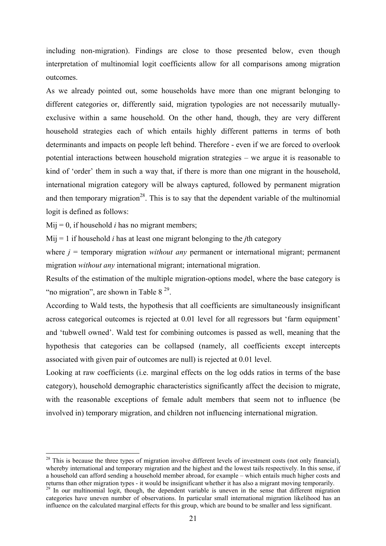including non-migration). Findings are close to those presented below, even though interpretation of multinomial logit coefficients allow for all comparisons among migration outcomes.

As we already pointed out, some households have more than one migrant belonging to different categories or, differently said, migration typologies are not necessarily mutuallyexclusive within a same household. On the other hand, though, they are very different household strategies each of which entails highly different patterns in terms of both determinants and impacts on people left behind. Therefore - even if we are forced to overlook potential interactions between household migration strategies – we argue it is reasonable to kind of 'order' them in such a way that, if there is more than one migrant in the household, international migration category will be always captured, followed by permanent migration and then temporary migration<sup>28</sup>. This is to say that the dependent variable of the multinomial logit is defined as follows:

 $Mii = 0$ , if household *i* has no migrant members;

 $\overline{a}$ 

Mij = 1 if household *i* has at least one migrant belonging to the *j*th category

where  $j =$  temporary migration *without any* permanent or international migrant; permanent migration *without any* international migrant; international migration.

Results of the estimation of the multiple migration-options model, where the base category is "no migration", are shown in Table  $8^{29}$ .

According to Wald tests, the hypothesis that all coefficients are simultaneously insignificant across categorical outcomes is rejected at 0.01 level for all regressors but 'farm equipment' and 'tubwell owned'. Wald test for combining outcomes is passed as well, meaning that the hypothesis that categories can be collapsed (namely, all coefficients except intercepts associated with given pair of outcomes are null) is rejected at 0.01 level.

Looking at raw coefficients (i.e. marginal effects on the log odds ratios in terms of the base category), household demographic characteristics significantly affect the decision to migrate, with the reasonable exceptions of female adult members that seem not to influence (be involved in) temporary migration, and children not influencing international migration.

 $28$  This is because the three types of migration involve different levels of investment costs (not only financial), whereby international and temporary migration and the highest and the lowest tails respectively. In this sense, if a household can afford sending a household member abroad, for example – which entails much higher costs and returns than other migration types - it would be insignificant whether it has also a migrant moving temporarily.

<sup>&</sup>lt;sup>29</sup> In our multinomial logit, though, the dependent variable is uneven in the sense that different migration categories have uneven number of observations. In particular small international migration likelihood has an influence on the calculated marginal effects for this group, which are bound to be smaller and less significant.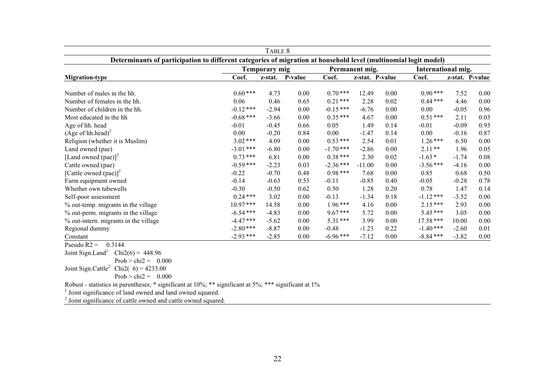|                                                                                                                 |             | TABLE 8              |         |             |                 |      |                    |         |                 |
|-----------------------------------------------------------------------------------------------------------------|-------------|----------------------|---------|-------------|-----------------|------|--------------------|---------|-----------------|
| Determinants of participation to different categories of migration at household level (multinomial logit model) |             |                      |         |             |                 |      |                    |         |                 |
|                                                                                                                 |             | <b>Temporary mig</b> |         |             | Permanent mig.  |      | International mig. |         |                 |
| <b>Migration-type</b>                                                                                           | Coef.       | z-stat.              | P-value | Coef.       | z-stat. P-value |      | Coef.              |         | z-stat. P-value |
| Number of males in the hh.                                                                                      | $0.60***$   | 4.73                 | 0.00    | $0.70***$   | 12.49           | 0.00 | $0.90***$          | 7.52    | 0.00            |
| Number of females in the hh.                                                                                    | 0.06        | 0.46                 | 0.65    | $0.21***$   | 2.28            | 0.02 | $0.44***$          | 4.46    | 0.00            |
| Number of children in the hh.                                                                                   | $-0.12***$  | $-2.94$              | 0.00    | $-0.15***$  | $-6.76$         | 0.00 | 0.00               | $-0.05$ | 0.96            |
| Most educated in the hh                                                                                         | $-0.68$ *** | $-3.66$              | 0.00    | $0.35***$   | 4.67            | 0.00 | $0.51***$          | 2.11    | 0.03            |
| Age of hh. head                                                                                                 | $-0.01$     | $-0.45$              | 0.66    | 0.05        | 1.49            | 0.14 | $-0.01$            | $-0.09$ | 0.93            |
| $(Age of hh.head)^2$                                                                                            | 0.00        | $-0.20$              | 0.84    | 0.00        | $-1.47$         | 0.14 | 0.00               | $-0.16$ | 0.87            |
| Religion (whether it is Muslim)                                                                                 | $3.02$ ***  | 4.09                 | 0.00    | $0.53***$   | 2.54            | 0.01 | $1.26***$          | 6.50    | 0.00            |
| Land owned (pae)                                                                                                | $-3.01$ *** | $-6.80$              | 0.00    | $-1.70$ *** | $-2.86$         | 0.00 | $2.11**$           | 1.96    | 0.05            |
| [Land owned (pae)] <sup>2</sup>                                                                                 | $0.73***$   | 6.81                 | 0.00    | $0.38***$   | 2.30            | 0.02 | $-1.63*$           | $-1.74$ | 0.08            |
| Cattle owned (pae)                                                                                              | $-0.59$ *** | $-2.23$              | 0.03    | $-2.36***$  | $-11.00$        | 0.00 | $-3.56$ ***        | $-4.16$ | 0.00            |
| [Cattle owned (pae)] <sup>2</sup>                                                                               | $-0.22$     | $-0.70$              | 0.48    | $0.98***$   | 7.68            | 0.00 | 0.85               | 0.68    | 0.50            |
| Farm equipment owned                                                                                            | $-0.14$     | $-0.63$              | 0.53    | $-0.11$     | $-0.85$         | 0.40 | $-0.05$            | $-0.28$ | 0.78            |
| Whether own tubewells                                                                                           | $-0.30$     | $-0.50$              | 0.62    | 0.50        | 1.28            | 0.20 | 0.78               | 1.47    | 0.14            |
| Self-poor assessment                                                                                            | $0.24***$   | 3.02                 | 0.00    | $-0.13$     | $-1.34$         | 0.18 | $-1.12***$         | $-3.52$ | 0.00            |
| % out-temp. migrants in the village                                                                             | $10.97***$  | 14.58                | 0.00    | $1.96***$   | 4.16            | 0.00 | $2.15***$          | 2.93    | 0.00            |
| % out-perm. migrants in the village                                                                             | $-6.54$ *** | $-4.83$              | 0.00    | $9.67***$   | 5.72            | 0.00 | $5.45***$          | 3.05    | 0.00            |
| % out-intern. migrants in the village                                                                           | $-4.47$ *** | $-5.62$              | 0.00    | $5.31***$   | 3.99            | 0.00 | $17.58***$         | 10.00   | 0.00            |
| Regional dummy                                                                                                  | $-2.80***$  | $-8.87$              | 0.00    | $-0.48$     | $-1.23$         | 0.22 | $-1.40$ ***        | $-2.60$ | 0.01            |
| Constant                                                                                                        | $-2.93$ *** | $-2.85$              | 0.00    | $-6.96***$  | $-7.12$         | 0.00 | $-8.84$ ***        | $-3.82$ | 0.00            |
| Pseudo $R2 =$<br>0.3144                                                                                         |             |                      |         |             |                 |      |                    |         |                 |

Joint Sign.Land<sup>1:</sup> Chi2(6) = 448.96

Prob  $>$  chi2 = 0.000

Joint Sign.Cattle<sup>2:</sup> Chi2(  $6$ ) = 4233.00

Prob  $>$  chi2 = 0.000

Robust - statistics in parentheses; \* significant at 10%; \*\* significant at 5%; \*\*\* significant at 1%

<sup>1</sup> Joint significance of land owned and land owned squared.

<sup>2</sup> Joint significance of cattle owned and cattle owned squared.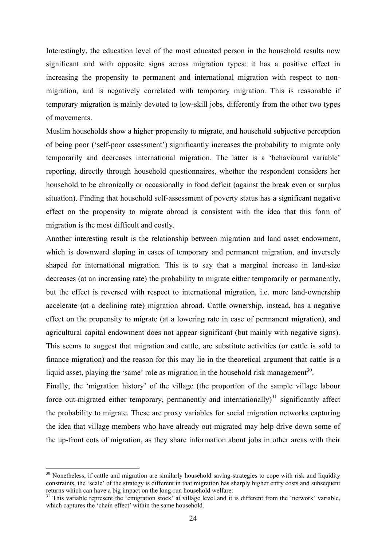Interestingly, the education level of the most educated person in the household results now significant and with opposite signs across migration types: it has a positive effect in increasing the propensity to permanent and international migration with respect to nonmigration, and is negatively correlated with temporary migration. This is reasonable if temporary migration is mainly devoted to low-skill jobs, differently from the other two types of movements.

Muslim households show a higher propensity to migrate, and household subjective perception of being poor ('self-poor assessment') significantly increases the probability to migrate only temporarily and decreases international migration. The latter is a 'behavioural variable' reporting, directly through household questionnaires, whether the respondent considers her household to be chronically or occasionally in food deficit (against the break even or surplus situation). Finding that household self-assessment of poverty status has a significant negative effect on the propensity to migrate abroad is consistent with the idea that this form of migration is the most difficult and costly.

Another interesting result is the relationship between migration and land asset endowment, which is downward sloping in cases of temporary and permanent migration, and inversely shaped for international migration. This is to say that a marginal increase in land-size decreases (at an increasing rate) the probability to migrate either temporarily or permanently, but the effect is reversed with respect to international migration, i.e. more land-ownership accelerate (at a declining rate) migration abroad. Cattle ownership, instead, has a negative effect on the propensity to migrate (at a lowering rate in case of permanent migration), and agricultural capital endowment does not appear significant (but mainly with negative signs). This seems to suggest that migration and cattle, are substitute activities (or cattle is sold to finance migration) and the reason for this may lie in the theoretical argument that cattle is a liquid asset, playing the 'same' role as migration in the household risk management<sup>30</sup>.

Finally, the 'migration history' of the village (the proportion of the sample village labour force out-migrated either temporary, permanently and internationally)<sup>31</sup> significantly affect the probability to migrate. These are proxy variables for social migration networks capturing the idea that village members who have already out-migrated may help drive down some of the up-front cots of migration, as they share information about jobs in other areas with their

 $30$  Nonetheless, if cattle and migration are similarly household saving-strategies to cope with risk and liquidity constraints, the 'scale' of the strategy is different in that migration has sharply higher entry costs and subsequent returns which can have a big impact on the long-run household welfare.

<sup>&</sup>lt;sup>31</sup> This variable represent the 'emigration stock' at village level and it is different from the 'network' variable, which captures the 'chain effect' within the same household.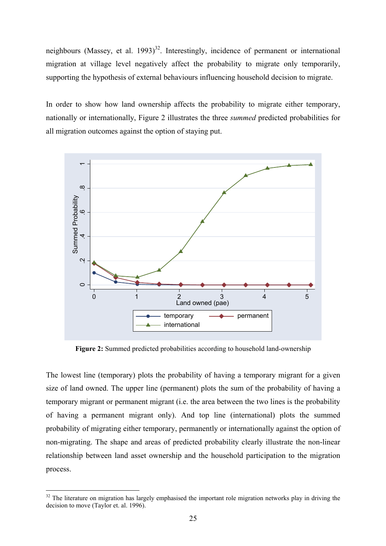neighbours (Massey, et al.  $1993$ <sup>32</sup>. Interestingly, incidence of permanent or international migration at village level negatively affect the probability to migrate only temporarily, supporting the hypothesis of external behaviours influencing household decision to migrate.

In order to show how land ownership affects the probability to migrate either temporary, nationally or internationally, Figure 2 illustrates the three *summed* predicted probabilities for all migration outcomes against the option of staying put.



**Figure 2:** Summed predicted probabilities according to household land-ownership

The lowest line (temporary) plots the probability of having a temporary migrant for a given size of land owned. The upper line (permanent) plots the sum of the probability of having a temporary migrant or permanent migrant (i.e. the area between the two lines is the probability of having a permanent migrant only). And top line (international) plots the summed probability of migrating either temporary, permanently or internationally against the option of non-migrating. The shape and areas of predicted probability clearly illustrate the non-linear relationship between land asset ownership and the household participation to the migration process.

 $32$  The literature on migration has largely emphasised the important role migration networks play in driving the decision to move (Taylor et. al. 1996).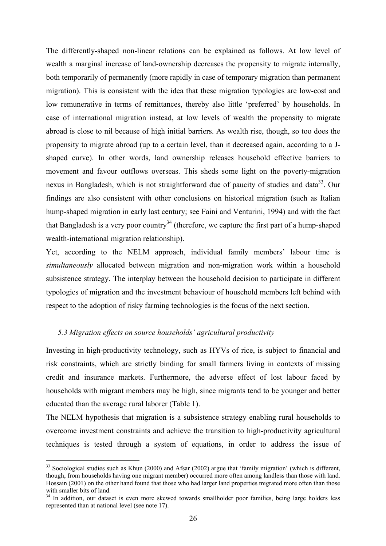The differently-shaped non-linear relations can be explained as follows. At low level of wealth a marginal increase of land-ownership decreases the propensity to migrate internally, both temporarily of permanently (more rapidly in case of temporary migration than permanent migration). This is consistent with the idea that these migration typologies are low-cost and low remunerative in terms of remittances, thereby also little 'preferred' by households. In case of international migration instead, at low levels of wealth the propensity to migrate abroad is close to nil because of high initial barriers. As wealth rise, though, so too does the propensity to migrate abroad (up to a certain level, than it decreased again, according to a Jshaped curve). In other words, land ownership releases household effective barriers to movement and favour outflows overseas. This sheds some light on the poverty-migration nexus in Bangladesh, which is not straightforward due of paucity of studies and data<sup>33</sup>. Our findings are also consistent with other conclusions on historical migration (such as Italian hump-shaped migration in early last century; see Faini and Venturini, 1994) and with the fact that Bangladesh is a very poor country<sup>34</sup> (therefore, we capture the first part of a hump-shaped wealth-international migration relationship).

Yet, according to the NELM approach, individual family members' labour time is *simultaneously* allocated between migration and non-migration work within a household subsistence strategy. The interplay between the household decision to participate in different typologies of migration and the investment behaviour of household members left behind with respect to the adoption of risky farming technologies is the focus of the next section.

## *5.3 Migration effects on source households' agricultural productivity*

Investing in high-productivity technology, such as HYVs of rice, is subject to financial and risk constraints, which are strictly binding for small farmers living in contexts of missing credit and insurance markets. Furthermore, the adverse effect of lost labour faced by households with migrant members may be high, since migrants tend to be younger and better educated than the average rural laborer (Table 1).

The NELM hypothesis that migration is a subsistence strategy enabling rural households to overcome investment constraints and achieve the transition to high-productivity agricultural techniques is tested through a system of equations, in order to address the issue of

 $\overline{a}$  $33$  Sociological studies such as Khun (2000) and Afsar (2002) argue that 'family migration' (which is different, though, from households having one migrant member) occurred more often among landless than those with land. Hossain (2001) on the other hand found that those who had larger land properties migrated more often than those with smaller bits of land.

<sup>&</sup>lt;sup>34</sup> In addition, our dataset is even more skewed towards smallholder poor families, being large holders less represented than at national level (see note 17).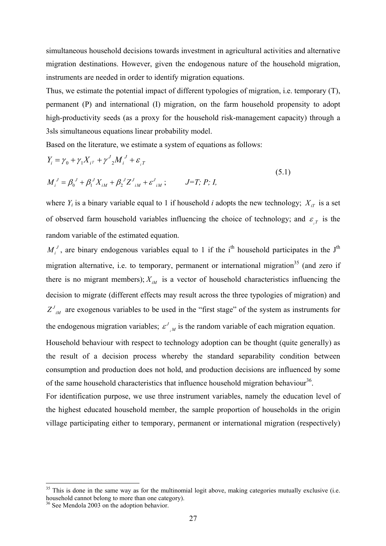simultaneous household decisions towards investment in agricultural activities and alternative migration destinations. However, given the endogenous nature of the household migration, instruments are needed in order to identify migration equations.

Thus, we estimate the potential impact of different typologies of migration, i.e. temporary (T), permanent (P) and international (I) migration, on the farm household propensity to adopt high-productivity seeds (as a proxy for the household risk-management capacity) through a 3sls simultaneous equations linear probability model.

Based on the literature, we estimate a system of equations as follows:

$$
Y_i = \gamma_0 + \gamma_1 X_{i\tau} + \gamma^J {}_2 M_i^J + \varepsilon_{i\tau}
$$
  
\n
$$
M_i^J = \beta_0^J + \beta_1^J X_{iM} + \beta_2^J Z_{iM}^J + \varepsilon_{iM}^J; \qquad J = T; P; I,
$$
\n(5.1)

where  $Y_i$  is a binary variable equal to 1 if household *i* adopts the new technology;  $X_{iT}$  is a set of observed farm household variables influencing the choice of technology; and  $\varepsilon$ <sub>*T*</sub> is the random variable of the estimated equation.

 $M_i^J$ , are binary endogenous variables equal to 1 if the i<sup>th</sup> household participates in the J<sup>th</sup> migration alternative, i.e. to temporary, permanent or international migration<sup>35</sup> (and zero if there is no migrant members);  $X_{iM}$  is a vector of household characteristics influencing the decision to migrate (different effects may result across the three typologies of migration) and  $Z_{iM}^J$  are exogenous variables to be used in the "first stage" of the system as instruments for the endogenous migration variables;  $\varepsilon^{J}$  *M* is the random variable of each migration equation.

Household behaviour with respect to technology adoption can be thought (quite generally) as the result of a decision process whereby the standard separability condition between consumption and production does not hold, and production decisions are influenced by some of the same household characteristics that influence household migration behaviour<sup>36</sup>.

For identification purpose, we use three instrument variables, namely the education level of the highest educated household member, the sample proportion of households in the origin village participating either to temporary, permanent or international migration (respectively)

<sup>&</sup>lt;sup>35</sup> This is done in the same way as for the multinomial logit above, making categories mutually exclusive (i.e. household cannot belong to more than one category).

<sup>&</sup>lt;sup>36</sup> See Mendola 2003 on the adoption behavior.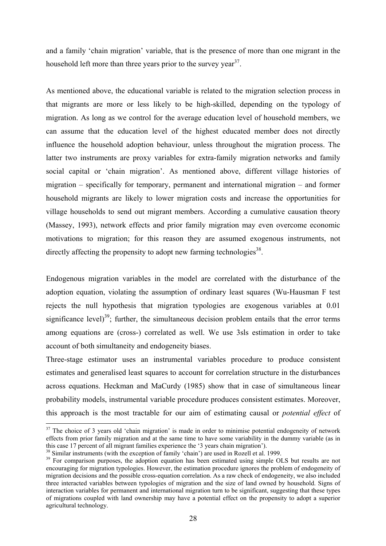and a family 'chain migration' variable, that is the presence of more than one migrant in the household left more than three years prior to the survey year  $37$ .

As mentioned above, the educational variable is related to the migration selection process in that migrants are more or less likely to be high-skilled, depending on the typology of migration. As long as we control for the average education level of household members, we can assume that the education level of the highest educated member does not directly influence the household adoption behaviour, unless throughout the migration process. The latter two instruments are proxy variables for extra-family migration networks and family social capital or 'chain migration'. As mentioned above, different village histories of migration – specifically for temporary, permanent and international migration – and former household migrants are likely to lower migration costs and increase the opportunities for village households to send out migrant members. According a cumulative causation theory (Massey, 1993), network effects and prior family migration may even overcome economic motivations to migration; for this reason they are assumed exogenous instruments, not directly affecting the propensity to adopt new farming technologies<sup>38</sup>.

Endogenous migration variables in the model are correlated with the disturbance of the adoption equation, violating the assumption of ordinary least squares (Wu-Hausman F test rejects the null hypothesis that migration typologies are exogenous variables at 0.01 significance level)<sup>39</sup>; further, the simultaneous decision problem entails that the error terms among equations are (cross-) correlated as well. We use 3sls estimation in order to take account of both simultaneity and endogeneity biases.

Three-stage estimator uses an instrumental variables procedure to produce consistent estimates and generalised least squares to account for correlation structure in the disturbances across equations. Heckman and MaCurdy (1985) show that in case of simultaneous linear probability models, instrumental variable procedure produces consistent estimates. Moreover, this approach is the most tractable for our aim of estimating causal or *potential effect* of

 $37$  The choice of 3 years old 'chain migration' is made in order to minimise potential endogeneity of network effects from prior family migration and at the same time to have some variability in the dummy variable (as in this case 17 percent of all migrant families experience the '3 years chain migration').

<sup>&</sup>lt;sup>38</sup> Similar instruments (with the exception of family 'chain') are used in Rozell et al. 1999.

<sup>&</sup>lt;sup>39</sup> For comparison purposes, the adoption equation has been estimated using simple OLS but results are not encouraging for migration typologies. However, the estimation procedure ignores the problem of endogeneity of migration decisions and the possible cross-equation correlation. As a raw check of endogeneity, we also included three interacted variables between typologies of migration and the size of land owned by household. Signs of interaction variables for permanent and international migration turn to be significant, suggesting that these types of migrations coupled with land ownership may have a potential effect on the propensity to adopt a superior agricultural technology.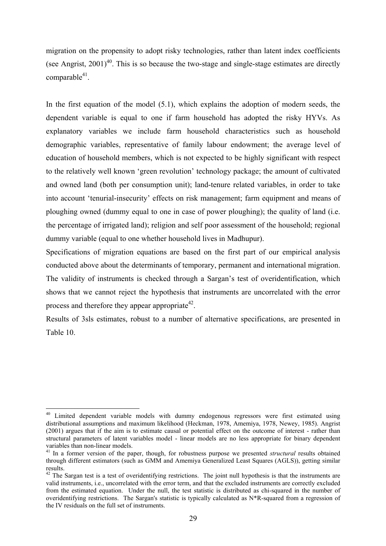migration on the propensity to adopt risky technologies, rather than latent index coefficients (see Angrist,  $2001$ <sup>40</sup>. This is so because the two-stage and single-stage estimates are directly comparable $41$ .

In the first equation of the model (5.1), which explains the adoption of modern seeds, the dependent variable is equal to one if farm household has adopted the risky HYVs. As explanatory variables we include farm household characteristics such as household demographic variables, representative of family labour endowment; the average level of education of household members, which is not expected to be highly significant with respect to the relatively well known 'green revolution' technology package; the amount of cultivated and owned land (both per consumption unit); land-tenure related variables, in order to take into account 'tenurial-insecurity' effects on risk management; farm equipment and means of ploughing owned (dummy equal to one in case of power ploughing); the quality of land (i.e. the percentage of irrigated land); religion and self poor assessment of the household; regional dummy variable (equal to one whether household lives in Madhupur).

Specifications of migration equations are based on the first part of our empirical analysis conducted above about the determinants of temporary, permanent and international migration. The validity of instruments is checked through a Sargan's test of overidentification, which shows that we cannot reject the hypothesis that instruments are uncorrelated with the error process and therefore they appear appropriate  $42$ .

Results of 3sls estimates, robust to a number of alternative specifications, are presented in Table 10.

<sup>&</sup>lt;sup>40</sup> Limited dependent variable models with dummy endogenous regressors were first estimated using distributional assumptions and maximum likelihood (Heckman, 1978, Amemiya, 1978, Newey, 1985). Angrist (2001) argues that if the aim is to estimate causal or potential effect on the outcome of interest - rather than structural parameters of latent variables model - linear models are no less appropriate for binary dependent variables than non-linear models.

<sup>41</sup> In a former version of the paper, though, for robustness purpose we presented *structural* results obtained through different estimators (such as GMM and Amemiya Generalized Least Squares (AGLS)), getting similar results.

 $42$  The Sargan test is a test of overidentifying restrictions. The joint null hypothesis is that the instruments are valid instruments, i.e., uncorrelated with the error term, and that the excluded instruments are correctly excluded from the estimated equation. Under the null, the test statistic is distributed as chi-squared in the number of overidentifying restrictions. The Sargan's statistic is typically calculated as N\*R-squared from a regression of the IV residuals on the full set of instruments.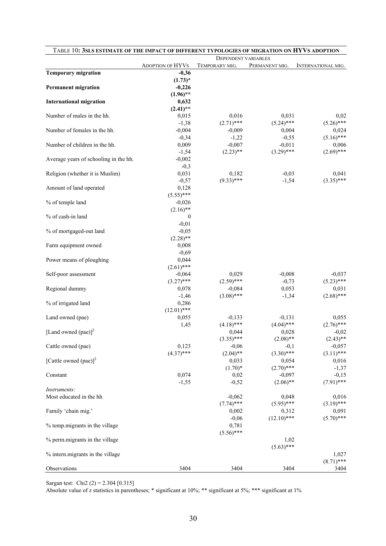| TABLE 10: 3SLS ESTIMATE OF THE IMPACT OF DIFFERENT TYPOLOGIES OF MIGRATION ON HYVS ADOPTION |                         | <b>DEPENDENT VARIABLES</b> |                        |                          |  |  |
|---------------------------------------------------------------------------------------------|-------------------------|----------------------------|------------------------|--------------------------|--|--|
|                                                                                             | <b>ADOPTION OF HYVS</b> | TEMPORARY MIG.             | PERMANENT MIG.         | INTERNATIONAL MIG.       |  |  |
| <b>Temporary migration</b>                                                                  | $-0,36$                 |                            |                        |                          |  |  |
|                                                                                             | $(1.73)^*$              |                            |                        |                          |  |  |
| <b>Permanent migration</b>                                                                  | $-0,226$                |                            |                        |                          |  |  |
|                                                                                             | $(1.96)$ **             |                            |                        |                          |  |  |
| <b>International migration</b>                                                              | 0,632                   |                            |                        |                          |  |  |
|                                                                                             | $(2.41)$ **             |                            |                        |                          |  |  |
| Number of males in the hh.                                                                  | 0,015                   | 0,016                      | 0,031                  | 0,02                     |  |  |
| Number of females in the hh.                                                                | $-1,38$<br>$-0,004$     | $(2.71)$ ***<br>$-0,009$   | $(5.24)$ ***<br>0,004  | $(5.26)$ ***<br>0,024    |  |  |
|                                                                                             | $-0,34$                 | $-1,22$                    | $-0,55$                | $(5.16)$ ***             |  |  |
| Number of children in the hh.                                                               | 0,009                   | $-0,007$                   | $-0,011$               | 0,006                    |  |  |
|                                                                                             | $-1,54$                 | $(2.23)$ **                | $(3.29)$ ***           | $(2.69)$ ***             |  |  |
| Average years of schooling in the hh.                                                       | $-0,002$                |                            |                        |                          |  |  |
|                                                                                             | $-0,3$                  |                            |                        |                          |  |  |
| Religion (whether it is Muslim)                                                             | 0,031                   | 0,182                      | $-0,03$                | 0,041                    |  |  |
|                                                                                             | $-0,57$                 | $(9.33)$ ***               | $-1,54$                | $(3.35)$ ***             |  |  |
| Amount of land operated                                                                     | 0,128                   |                            |                        |                          |  |  |
|                                                                                             | $(5.55)$ ***            |                            |                        |                          |  |  |
| % of temple land                                                                            | $-0,026$                |                            |                        |                          |  |  |
|                                                                                             | $(2.16)$ **             |                            |                        |                          |  |  |
| % of cash-in land                                                                           | $\mathbf{0}$            |                            |                        |                          |  |  |
|                                                                                             | $-0,01$                 |                            |                        |                          |  |  |
| % of mortgaged-out land                                                                     | $-0,05$                 |                            |                        |                          |  |  |
|                                                                                             | $(2.28)$ **             |                            |                        |                          |  |  |
| Farm equipment owned                                                                        | 0,008<br>$-0,69$        |                            |                        |                          |  |  |
| Power means of ploughing                                                                    | 0,044                   |                            |                        |                          |  |  |
|                                                                                             | $(2.61)$ ***            |                            |                        |                          |  |  |
| Self-poor assessment                                                                        | $-0,064$                | 0,029                      | $-0,008$               | $-0,037$                 |  |  |
|                                                                                             | $(3.27)$ ***            | $(2.59)$ ***               | $-0,73$                | $(5.23)$ ***             |  |  |
| Regional dummy                                                                              | 0,078                   | $-0,084$                   | 0,053                  | 0,031                    |  |  |
|                                                                                             | $-1,46$                 | $(3.08)$ ***               | $-1,34$                | $(2.68)$ ***             |  |  |
| % of irrigated land                                                                         | 0,286                   |                            |                        |                          |  |  |
|                                                                                             | $(12.01)$ ***           |                            |                        |                          |  |  |
| Land owned (pae)                                                                            | 0,055                   | $-0,133$                   | $-0,131$               | 0,055                    |  |  |
|                                                                                             | 1,45                    | $(4.18)$ ***               | $(4.04)$ ***           | $(2.76)$ ***             |  |  |
| [Land owned (pae)] <sup>2</sup>                                                             |                         | 0,044                      | 0,028                  | $-0,02$                  |  |  |
|                                                                                             |                         | $(3.35)$ ***               | $(2.08)$ **            | $(2.43)$ **              |  |  |
| Cattle owned (pae)                                                                          | 0,123<br>$(4.37)$ ***   | $-0,06$<br>$(2.04)$ **     | $-0,1$<br>$(3.30)$ *** | $-0,057$<br>$(3.11)$ *** |  |  |
| [Cattle owned (pae)] <sup>2</sup>                                                           |                         | 0,033                      | 0,054                  | 0,016                    |  |  |
|                                                                                             |                         | $(1.70)*$                  | $(2.70)$ ***           | $-1,37$                  |  |  |
| Constant                                                                                    | 0,074                   | 0,02                       | $-0,097$               | $-0,15$                  |  |  |
|                                                                                             | $-1,55$                 | $-0,52$                    | $(2.06)$ **            | $(7.91)$ ***             |  |  |
| Instruments:                                                                                |                         |                            |                        |                          |  |  |
| Most educated in the hh                                                                     |                         | $-0,062$                   | 0,048                  | 0,016                    |  |  |
|                                                                                             |                         | $(7.74)$ ***               | $(5.95)$ ***           | $(3.19)$ ***             |  |  |
| Family 'chain mig.'                                                                         |                         | 0,002                      | 0,312                  | 0,091                    |  |  |
|                                                                                             |                         | $-0,06$                    | $(12.10)$ ***          | $(5.70)$ ***             |  |  |
| % temp.migrants in the village                                                              |                         | 0,781                      |                        |                          |  |  |
|                                                                                             |                         | $(5.56)$ ***               |                        |                          |  |  |
| % perm.migrants in the village                                                              |                         |                            | 1,02                   |                          |  |  |
|                                                                                             |                         |                            | $(5.63)$ ***           |                          |  |  |
| % intern.migrants in the village                                                            |                         |                            |                        | 1,027                    |  |  |
|                                                                                             |                         |                            |                        | $(8.71)$ ***             |  |  |
| Observations                                                                                | 3404                    | 3404                       | 3404                   | 3404                     |  |  |

Sargan test: Chi2 (2) = 2.304 [0.315]

Absolute value of z statistics in parentheses; \* significant at 10%; \*\* significant at 5%; \*\*\* significant at 1%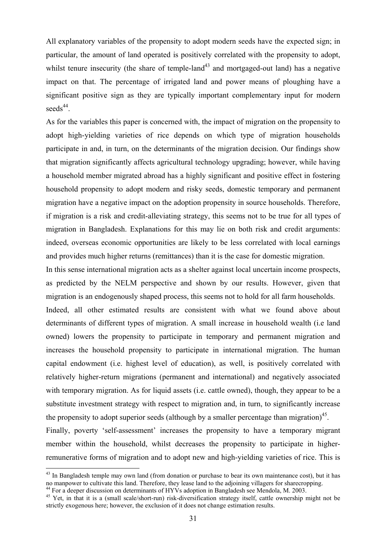All explanatory variables of the propensity to adopt modern seeds have the expected sign; in particular, the amount of land operated is positively correlated with the propensity to adopt, whilst tenure insecurity (the share of temple-land<sup>43</sup> and mortgaged-out land) has a negative impact on that. The percentage of irrigated land and power means of ploughing have a significant positive sign as they are typically important complementary input for modern seeds $44$ .

As for the variables this paper is concerned with, the impact of migration on the propensity to adopt high-yielding varieties of rice depends on which type of migration households participate in and, in turn, on the determinants of the migration decision. Our findings show that migration significantly affects agricultural technology upgrading; however, while having a household member migrated abroad has a highly significant and positive effect in fostering household propensity to adopt modern and risky seeds, domestic temporary and permanent migration have a negative impact on the adoption propensity in source households. Therefore, if migration is a risk and credit-alleviating strategy, this seems not to be true for all types of migration in Bangladesh. Explanations for this may lie on both risk and credit arguments: indeed, overseas economic opportunities are likely to be less correlated with local earnings and provides much higher returns (remittances) than it is the case for domestic migration.

In this sense international migration acts as a shelter against local uncertain income prospects, as predicted by the NELM perspective and shown by our results. However, given that migration is an endogenously shaped process, this seems not to hold for all farm households.

Indeed, all other estimated results are consistent with what we found above about determinants of different types of migration. A small increase in household wealth (i.e land owned) lowers the propensity to participate in temporary and permanent migration and increases the household propensity to participate in international migration. The human capital endowment (i.e. highest level of education), as well, is positively correlated with relatively higher-return migrations (permanent and international) and negatively associated with temporary migration. As for liquid assets (i.e. cattle owned), though, they appear to be a substitute investment strategy with respect to migration and, in turn, to significantly increase the propensity to adopt superior seeds (although by a smaller percentage than migration)<sup>45</sup>.

Finally, poverty 'self-assessment' increases the propensity to have a temporary migrant member within the household, whilst decreases the propensity to participate in higherremunerative forms of migration and to adopt new and high-yielding varieties of rice. This is

 $44$  For a deeper discussion on determinants of HYVs adoption in Bangladesh see Mendola, M. 2003.

<sup>&</sup>lt;sup>43</sup> In Bangladesh temple may own land (from donation or purchase to bear its own maintenance cost), but it has no manpower to cultivate this land. Therefore, they lease land to the adjoining villagers for sharecropping.

<sup>&</sup>lt;sup>45</sup> Yet, in that it is a (small scale/short-run) risk-diversification strategy itself, cattle ownership might not be strictly exogenous here; however, the exclusion of it does not change estimation results.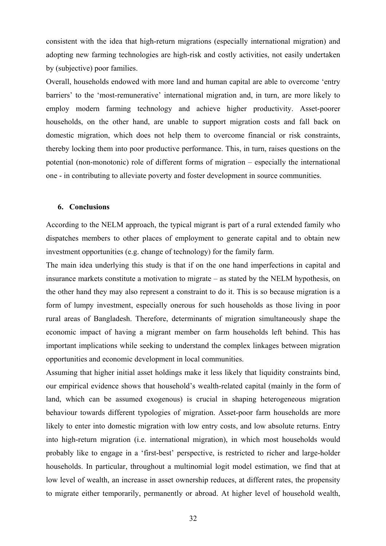consistent with the idea that high-return migrations (especially international migration) and adopting new farming technologies are high-risk and costly activities, not easily undertaken by (subjective) poor families.

Overall, households endowed with more land and human capital are able to overcome 'entry barriers' to the 'most-remunerative' international migration and, in turn, are more likely to employ modern farming technology and achieve higher productivity. Asset-poorer households, on the other hand, are unable to support migration costs and fall back on domestic migration, which does not help them to overcome financial or risk constraints, thereby locking them into poor productive performance. This, in turn, raises questions on the potential (non-monotonic) role of different forms of migration – especially the international one - in contributing to alleviate poverty and foster development in source communities.

#### **6. Conclusions**

According to the NELM approach, the typical migrant is part of a rural extended family who dispatches members to other places of employment to generate capital and to obtain new investment opportunities (e.g. change of technology) for the family farm.

The main idea underlying this study is that if on the one hand imperfections in capital and insurance markets constitute a motivation to migrate – as stated by the NELM hypothesis, on the other hand they may also represent a constraint to do it. This is so because migration is a form of lumpy investment, especially onerous for such households as those living in poor rural areas of Bangladesh. Therefore, determinants of migration simultaneously shape the economic impact of having a migrant member on farm households left behind. This has important implications while seeking to understand the complex linkages between migration opportunities and economic development in local communities.

Assuming that higher initial asset holdings make it less likely that liquidity constraints bind, our empirical evidence shows that household's wealth-related capital (mainly in the form of land, which can be assumed exogenous) is crucial in shaping heterogeneous migration behaviour towards different typologies of migration. Asset-poor farm households are more likely to enter into domestic migration with low entry costs, and low absolute returns. Entry into high-return migration (i.e. international migration), in which most households would probably like to engage in a 'first-best' perspective, is restricted to richer and large-holder households. In particular, throughout a multinomial logit model estimation, we find that at low level of wealth, an increase in asset ownership reduces, at different rates, the propensity to migrate either temporarily, permanently or abroad. At higher level of household wealth,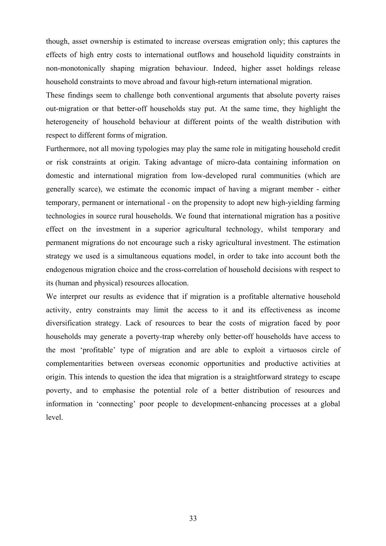though, asset ownership is estimated to increase overseas emigration only; this captures the effects of high entry costs to international outflows and household liquidity constraints in non-monotonically shaping migration behaviour. Indeed, higher asset holdings release household constraints to move abroad and favour high-return international migration.

These findings seem to challenge both conventional arguments that absolute poverty raises out-migration or that better-off households stay put. At the same time, they highlight the heterogeneity of household behaviour at different points of the wealth distribution with respect to different forms of migration.

Furthermore, not all moving typologies may play the same role in mitigating household credit or risk constraints at origin. Taking advantage of micro-data containing information on domestic and international migration from low-developed rural communities (which are generally scarce), we estimate the economic impact of having a migrant member - either temporary, permanent or international - on the propensity to adopt new high-yielding farming technologies in source rural households. We found that international migration has a positive effect on the investment in a superior agricultural technology, whilst temporary and permanent migrations do not encourage such a risky agricultural investment. The estimation strategy we used is a simultaneous equations model, in order to take into account both the endogenous migration choice and the cross-correlation of household decisions with respect to its (human and physical) resources allocation.

We interpret our results as evidence that if migration is a profitable alternative household activity, entry constraints may limit the access to it and its effectiveness as income diversification strategy. Lack of resources to bear the costs of migration faced by poor households may generate a poverty-trap whereby only better-off households have access to the most 'profitable' type of migration and are able to exploit a virtuosos circle of complementarities between overseas economic opportunities and productive activities at origin. This intends to question the idea that migration is a straightforward strategy to escape poverty, and to emphasise the potential role of a better distribution of resources and information in 'connecting' poor people to development-enhancing processes at a global level.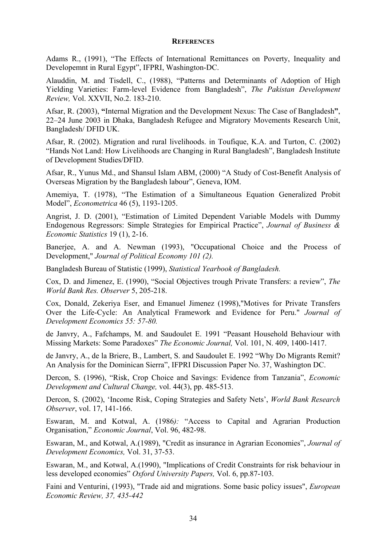#### **REFERENCES**

Adams R., (1991), "The Effects of International Remittances on Poverty, Inequality and Developemnt in Rural Egypt", IFPRI, Washington-DC.

Alauddin, M. and Tisdell, C., (1988), "Patterns and Determinants of Adoption of High Yielding Varieties: Farm-level Evidence from Bangladesh", *The Pakistan Development Review,* Vol. XXVII, No.2. 183-210.

Afsar, R. (2003), **"**Internal Migration and the Development Nexus: The Case of Bangladesh**"**, 22–24 June 2003 in Dhaka, Bangladesh Refugee and Migratory Movements Research Unit, Bangladesh/ DFID UK.

Afsar, R. (2002). Migration and rural livelihoods. in Toufique, K.A. and Turton, C. (2002) "Hands Not Land: How Livelihoods are Changing in Rural Bangladesh", Bangladesh Institute of Development Studies/DFID.

Afsar, R., Yunus Md., and Shansul Islam ABM, (2000) "A Study of Cost-Benefit Analysis of Overseas Migration by the Bangladesh labour", Geneva, IOM.

Amemiya, T. (1978), "The Estimation of a Simultaneous Equation Generalized Probit Model", *Econometrica* 46 (5), 1193-1205.

Angrist, J. D. (2001), "Estimation of Limited Dependent Variable Models with Dummy Endogenous Regressors: Simple Strategies for Empirical Practice", *Journal of Business & Economic Statistics* 19 (1), 2-16.

Banerjee, A. and A. Newman (1993), "Occupational Choice and the Process of Development," *Journal of Political Economy 101 (2).* 

Bangladesh Bureau of Statistic (1999), *Statistical Yearbook of Bangladesh.* 

Cox, D. and Jimenez, E. (1990), "Social Objectives trough Private Transfers: a review", *The World Bank Res. Observer* 5, 205-218.

Cox, Donald, Zekeriya Eser, and Emanuel Jimenez (1998),"Motives for Private Transfers Over the Life-Cycle: An Analytical Framework and Evidence for Peru." *Journal of Development Economics 55: 57-80.* 

de Janvry, A., Fafchamps, M. and Saudoulet E. 1991 "Peasant Household Behaviour with Missing Markets: Some Paradoxes" *The Economic Journal,* Vol. 101, N. 409, 1400-1417.

de Janvry, A., de la Briere, B., Lambert, S. and Saudoulet E. 1992 "Why Do Migrants Remit? An Analysis for the Dominican Sierra", IFPRI Discussion Paper No. 37, Washington DC.

Dercon, S. (1996), "Risk, Crop Choice and Savings: Evidence from Tanzania", *Economic Development and Cultural Change,* vol. 44(3), pp. 485-513.

Dercon, S. (2002), 'Income Risk, Coping Strategies and Safety Nets', *World Bank Research Observer*, vol. 17, 141-166.

Eswaran, M. and Kotwal, A. (1986*):* "Access to Capital and Agrarian Production Organisation," *Economic Journal*, Vol. 96, 482-98.

Eswaran, M., and Kotwal, A.(1989), "Credit as insurance in Agrarian Economies", *Journal of Development Economics,* Vol. 31, 37-53.

Eswaran, M., and Kotwal, A.(1990), "Implications of Credit Constraints for risk behaviour in less developed economies" *Oxford University Papers,* Vol. 6, pp.87-103.

Faini and Venturini, (1993), "Trade aid and migrations. Some basic policy issues", *European Economic Review, 37, 435-442*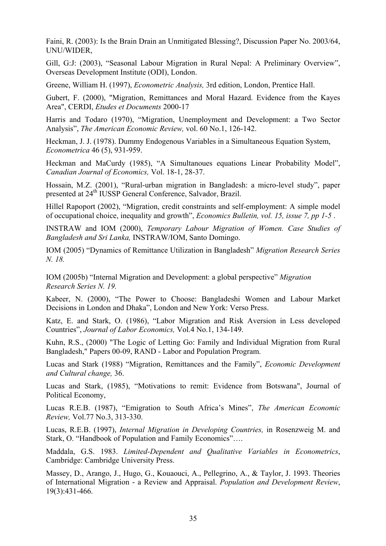Faini, R. (2003): Is the Brain Drain an Unmitigated Blessing?, Discussion Paper No. 2003/64, UNU/WIDER,

Gill, G:J: (2003), "Seasonal Labour Migration in Rural Nepal: A Preliminary Overview", Overseas Development Institute (ODI), London.

Greene, William H. (1997), *Econometric Analysis,* 3rd edition, London, Prentice Hall.

Gubert, F. (2000), "Migration, Remittances and Moral Hazard. Evidence from the Kayes Area", CERDI, *Etudes et Documents* 2000-17

Harris and Todaro (1970), "Migration, Unemployment and Development: a Two Sector Analysis", *The American Economic Review,* vol. 60 No.1, 126-142.

Heckman, J. J. (1978). Dummy Endogenous Variables in a Simultaneous Equation System, *Econometrica* 46 (5), 931-959.

Heckman and MaCurdy (1985), "A Simultanoues equations Linear Probability Model", *Canadian Journal of Economics,* Vol. 18-1, 28-37.

Hossain, M.Z. (2001), "Rural-urban migration in Bangladesh: a micro-level study", paper presented at 24th IUSSP General Conference, Salvador, Brazil.

Hillel Rapoport (2002), "Migration, credit constraints and self-employment: A simple model of occupational choice, inequality and growth", *Economics Bulletin, vol. 15, issue 7, pp 1-5* .

INSTRAW and IOM (2000), *Temporary Labour Migration of Women. Case Studies of Bangladesh and Sri Lanka,* INSTRAW/IOM, Santo Domingo.

IOM (2005) "Dynamics of Remittance Utilization in Bangladesh" *Migration Research Series N. 18.* 

IOM (2005b) "Internal Migration and Development: a global perspective" *Migration Research Series N. 19.* 

Kabeer, N. (2000), "The Power to Choose: Bangladeshi Women and Labour Market Decisions in London and Dhaka", London and New York: Verso Press.

Katz, E. and Stark, O. (1986), "Labor Migration and Risk Aversion in Less developed Countries", *Journal of Labor Economics,* Vol.4 No.1, 134-149.

Kuhn, R.S., (2000) "The Logic of Letting Go: Family and Individual Migration from Rural Bangladesh," Papers 00-09, RAND - Labor and Population Program.

Lucas and Stark (1988) "Migration, Remittances and the Family", *Economic Development and Cultural change,* 36.

Lucas and Stark, (1985), "Motivations to remit: Evidence from Botswana", Journal of Political Economy,

Lucas R.E.B. (1987), "Emigration to South Africa's Mines", *The American Economic Review,* Vol.77 No.3, 313-330.

Lucas, R.E.B. (1997), *Internal Migration in Developing Countries,* in Rosenzweig M. and Stark, O. "Handbook of Population and Family Economics"….

Maddala, G.S. 1983. *Limited-Dependent and Qualitative Variables in Econometrics*, Cambridge: Cambridge University Press.

Massey, D., Arango, J., Hugo, G., Kouaouci, A., Pellegrino, A., & Taylor, J. 1993. Theories of International Migration - a Review and Appraisal. *Population and Development Review*, 19(3):431-466.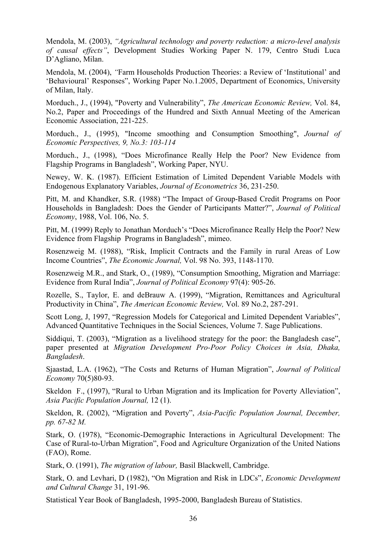Mendola, M. (2003), *"Agricultural technology and poverty reduction: a micro-level analysis of causal effects"*, Development Studies Working Paper N. 179, Centro Studi Luca D'Agliano, Milan.

Mendola, M. (2004), *"*Farm Households Production Theories: a Review of 'Institutional' and 'Behavioural' Responses", Working Paper No.1.2005, Department of Economics, University of Milan, Italy.

Morduch., J., (1994), "Poverty and Vulnerability", *The American Economic Review,* Vol. 84, No.2, Paper and Proceedings of the Hundred and Sixth Annual Meeting of the American Economic Association, 221-225.

Morduch., J., (1995), "Income smoothing and Consumption Smoothing", *Journal of Economic Perspectives, 9, No.3: 103-114* 

Morduch., J., (1998), "Does Microfinance Really Help the Poor? New Evidence from Flagship Programs in Bangladesh", Working Paper, NYU.

Newey, W. K. (1987). Efficient Estimation of Limited Dependent Variable Models with Endogenous Explanatory Variables, *Journal of Econometrics* 36, 231-250.

Pitt, M. and Khandker, S.R. (1988) "The Impact of Group-Based Credit Programs on Poor Households in Bangladesh: Does the Gender of Participants Matter?", *Journal of Political Economy*, 1988, Vol. 106, No. 5.

Pitt, M. (1999) Reply to Jonathan Morduch's "Does Microfinance Really Help the Poor? New Evidence from Flagship Programs in Bangladesh", mimeo.

Rosenzweig M. (1988), "Risk, Implicit Contracts and the Family in rural Areas of Low Income Countries", *The Economic Journal,* Vol. 98 No. 393, 1148-1170.

Rosenzweig M.R., and Stark, O., (1989), "Consumption Smoothing, Migration and Marriage: Evidence from Rural India", *Journal of Political Economy* 97(4): 905-26.

Rozelle, S., Taylor, E. and deBrauw A. (1999), "Migration, Remittances and Agricultural Productivity in China", *The American Economic Review,* Vol. 89 No.2, 287-291.

Scott Long, J, 1997, "Regression Models for Categorical and Limited Dependent Variables", Advanced Quantitative Techniques in the Social Sciences, Volume 7. Sage Publications.

Siddiqui, T. (2003), "Migration as a livelihood strategy for the poor: the Bangladesh case", paper presented at *Migration Development Pro-Poor Policy Choices in Asia, Dhaka, Bangladesh*.

Sjaastad, L.A. (1962), "The Costs and Returns of Human Migration", *Journal of Political Economy* 70(5)80-93.

Skeldon F., (1997), "Rural to Urban Migration and its Implication for Poverty Alleviation", *Asia Pacific Population Journal,* 12 (1).

Skeldon, R. (2002), "Migration and Poverty", *Asia-Pacific Population Journal, December, pp. 67-82 M.* 

Stark, O. (1978), "Economic-Demographic Interactions in Agricultural Development: The Case of Rural-to-Urban Migration", Food and Agriculture Organization of the United Nations (FAO), Rome.

Stark, O. (1991), *The migration of labour,* Basil Blackwell, Cambridge.

Stark, O. and Levhari, D (1982), "On Migration and Risk in LDCs", *Economic Development and Cultural Change* 31, 191-96.

Statistical Year Book of Bangladesh, 1995-2000, Bangladesh Bureau of Statistics.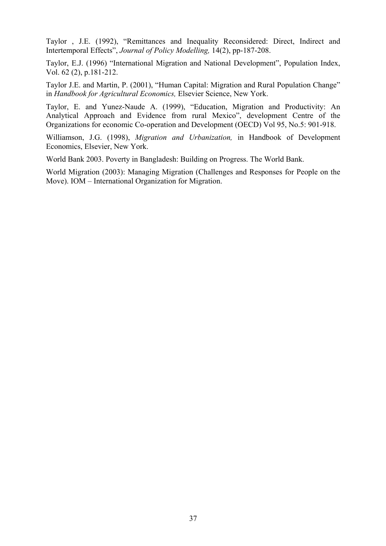Taylor , J.E. (1992), "Remittances and Inequality Reconsidered: Direct, Indirect and Intertemporal Effects", *Journal of Policy Modelling,* 14(2), pp-187-208.

Taylor, E.J. (1996) "International Migration and National Development", Population Index, Vol. 62 (2), p.181-212.

Taylor J.E. and Martin, P. (2001), "Human Capital: Migration and Rural Population Change" in *Handbook for Agricultural Economics,* Elsevier Science, New York.

Taylor, E. and Yunez-Naude A. (1999), "Education, Migration and Productivity: An Analytical Approach and Evidence from rural Mexico", development Centre of the Organizations for economic Co-operation and Development (OECD) Vol 95, No.5: 901-918.

Williamson, J.G. (1998), *Migration and Urbanization,* in Handbook of Development Economics, Elsevier, New York.

World Bank 2003. Poverty in Bangladesh: Building on Progress. The World Bank.

World Migration (2003): Managing Migration (Challenges and Responses for People on the Move). IOM – International Organization for Migration.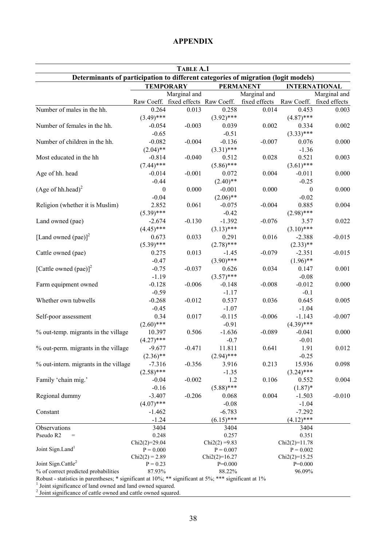#### **TABLE A.1 Determinants of participation to different categories of migration (logit models) TEMPORARY PERMANENT INTERNATIONAL**  Raw Coeff. Marginal and fixed effects Raw Coeff. Marginal and fixed effects Raw Coeff. Marginal and fixed effects Number of males in the hh. 0.264 0.013 0.258 0.014 0.453 0.003  $(3.49)^{***}$   $(3.92)^{***}$   $(4.87)^{***}$ Number of females in the hh.  $-0.054$   $-0.003$   $0.039$   $0.002$   $0.334$   $0.002$  $-0.65$   $-0.51$   $(3.33)***$ Number of children in the hh.  $-0.082$   $-0.004$   $-0.136$   $-0.007$   $0.076$  0.000  $(2.04)$ <sup>\*\*</sup>  $(3.31)$ <sup>\*\*</sup>  $-1.36$ Most educated in the hh  $-0.814$   $-0.040$   $0.512$   $0.028$   $0.521$   $0.003$  $(7.44)$ \*\*\*  $(5.86)$ \*\*\*  $(3.61)$ \*\*\*  $(3.61)$ Age of hh. head -0.014 -0.001 0.072 0.004 -0.011 0.000  $-0.44$   $(2.40)$ <sup>\*\*</sup>  $-0.25$ (Age of hh.head) $^{2}$  $0 \t 0.000 \t -0.001 \t 0.000 \t 0 \t 0.000$  $-0.04$   $(2.06)$ <sup>\*\*</sup>  $-0.02$ Religion (whether it is Muslim) 2.852 0.061 -0.075 -0.004 0.885 0.004  $(5.39)^{***}$  -0.42  $(2.98)^{***}$ Land owned (pae)  $-2.674$   $-0.130$   $-1.392$   $-0.076$   $3.57$   $0.022$  $(4.45)$ \*\*\*  $(3.13)$ \*\*\*  $(3.10)$ \*\*\*  $(3.10)$ [Land owned (pae)] $<sup>2</sup>$ </sup> 0.673 0.033 0.291 0.016 -2.388 -0.015  $(5.39)^{***}$   $(2.78)^{***}$   $(2.33)^{**}$ Cattle owned (pae) 0.275 0.013 -1.45 -0.079 -2.351 -0.015  $-0.47$  (3.90)\*\*\* (1.96)\*\* (1.96) [Cattle owned (pae)] $<sup>2</sup>$ </sup> -0.75 -0.037 0.626 0.034 0.147 0.001  $-1.19$   $(3.57)$ <sup>\*\*\*</sup>  $-0.08$ Farm equipment owned  $-0.128$   $-0.006$   $-0.148$   $-0.008$   $-0.012$  0.000  $-0.59$   $-1.17$   $-0.1$ Whether own tubwells  $-0.268$   $-0.012$   $0.537$   $0.036$   $0.645$   $0.005$  $-0.45$   $-1.07$   $-1.04$ Self-poor assessment  $0.34$   $0.017$   $-0.115$   $-0.006$   $-1.143$   $-0.007$  $(2.60)$ \*\*\*  $-0.91$   $(4.39)$ \*\*\* % out-temp. migrants in the village  $10.397$  0.506  $-1.636$   $-0.089$   $-0.041$  0.000  $(4.27)$ \*\*\*  $-0.7$   $-0.01$ % out-perm. migrants in the village  $-9.677 -0.471 -11.811 -0.641 -1.91 -0.012$  $(2.36)$ <sup>\*\*</sup>  $(2.94)$ <sup>\*\*\*</sup>  $-0.25$ % out-intern. migrants in the village  $-7.316$   $-0.356$   $3.916$  0.213  $15.936$  0.098  $(2.58)$ \*\*\*  $-1.35$   $(3.24)$ \*\*\* Family 'chain mig.'  $-0.04$   $-0.002$   $1.2$   $0.106$   $0.552$   $0.004$  $-0.16$  (5.88)\*\*\* (1.87)\* (1.87)\* Regional dummy  $-3.407 -0.206 -0.068 -0.004 -1.503 -0.010$  $(4.07)$ \*\*\*  $-0.08$   $-1.04$ Constant -1.462 -6.783 -7.292  $-1.24$  (6.15)\*\*\* (4.12)\*\*\* (4.12) Observations 3404 3404 3404 Pseudo R2  $=$  0.248 0.257 0.351  $Chi2(2)=29.04$  Chi2(2) =9.83 Chi2(2)=11.78 Joint Sign.Land<sup>1</sup>  $P = 0.000$   $P = 0.007$   $P = 0.002$  $Chi2(2) = 2.89$  Chi2(2)=16.27 Chi2(2)=15.25 Joint Sign.Cattle<sup>2</sup>  $P = 0.23$   $P = 0.000$   $P = 0.000$ % of correct predicted probabilities 87.93% 88.22% 96.09% 96.09%

#### **APPENDIX**

Robust - statistics in parentheses; \* significant at 10%; \*\* significant at 5%; \*\*\* significant at 1% 1

 $<sup>1</sup>$  Joint significance of land owned and land owned squared.</sup>

<sup>2</sup> Joint significance of cattle owned and cattle owned squared.